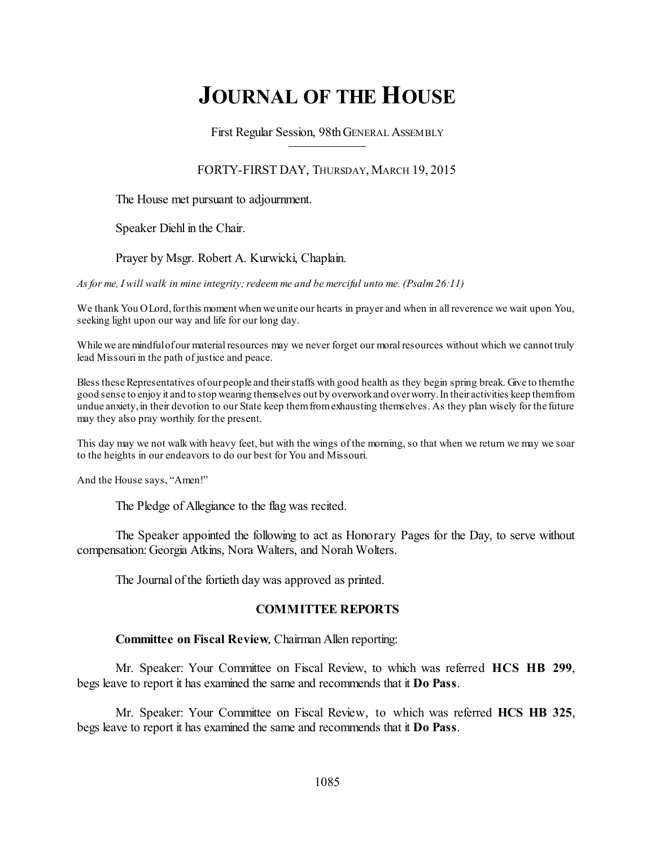# **JOURNAL OF THE HOUSE**

First Regular Session, 98thGENERAL ASSEMBLY

## FORTY-FIRST DAY, THURSDAY, MARCH 19, 2015

The House met pursuant to adjournment.

Speaker Diehl in the Chair.

## Prayer by Msgr. Robert A. Kurwicki, Chaplain.

*As for me, I will walk in mine integrity;redeem me and be merciful unto me. (Psalm 26:11)*

We thank You OLord, for this moment when we unite our hearts in prayer and when in all reverence we wait upon You, seeking light upon our way and life for our long day.

While we are mindful of our material resources may we never forget our moral resources without which we cannot truly lead Missouri in the path of justice and peace.

Bless these Representatives of our people and their staffs with good health as they begin spring break. Give to themthe good sense to enjoy it and to stop wearing themselves out by overworkand overworry.In their activities keep themfrom undue anxiety, in their devotion to our State keep them from exhausting themselves. As they plan wisely for the future may they also pray worthily for the present.

This day may we not walk with heavy feet, but with the wings of the morning, so that when we return we may we soar to the heights in our endeavors to do our best for You and Missouri.

And the House says, "Amen!"

The Pledge of Allegiance to the flag was recited.

The Speaker appointed the following to act as Honorary Pages for the Day, to serve without compensation: Georgia Atkins, Nora Walters, and Norah Wolters.

The Journal of the fortieth day was approved as printed.

## **COMMITTEE REPORTS**

### **Committee on Fiscal Review**, Chairman Allen reporting:

Mr. Speaker: Your Committee on Fiscal Review, to which was referred **HCS HB 299**, begs leave to report it has examined the same and recommends that it **Do Pass**.

Mr. Speaker: Your Committee on Fiscal Review, to which was referred **HCS HB 325**, begs leave to report it has examined the same and recommends that it **Do Pass**.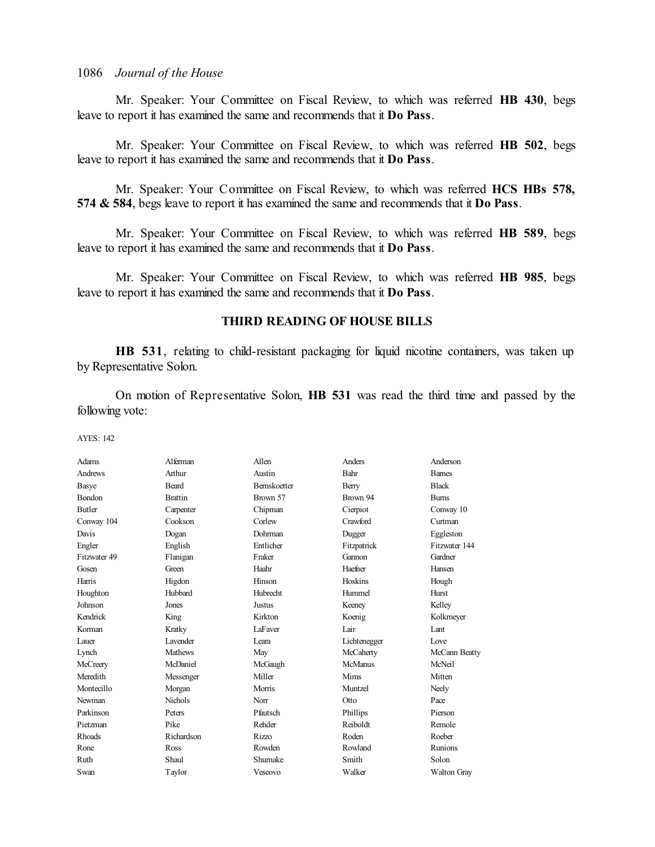Mr. Speaker: Your Committee on Fiscal Review, to which was referred **HB 430**, begs leave to report it has examined the same and recommends that it **Do Pass**.

Mr. Speaker: Your Committee on Fiscal Review, to which was referred **HB 502**, begs leave to report it has examined the same and recommends that it **Do Pass**.

Mr. Speaker: Your Committee on Fiscal Review, to which was referred **HCS HBs 578, 574 & 584**, begs leave to report it has examined the same and recommends that it **Do Pass**.

Mr. Speaker: Your Committee on Fiscal Review, to which was referred **HB 589**, begs leave to report it has examined the same and recommends that it **Do Pass**.

Mr. Speaker: Your Committee on Fiscal Review, to which was referred **HB 985**, begs leave to report it has examined the same and recommends that it **Do Pass**.

### **THIRD READING OF HOUSE BILLS**

**HB 531**, relating to child-resistant packaging for liquid nicotine containers, was taken up by Representative Solon.

On motion of Representative Solon, **HB 531** was read the third time and passed by the following vote:

| Adams         | Alferman        | Allen               | Anders         | Anderson           |
|---------------|-----------------|---------------------|----------------|--------------------|
| Andrews       | Arthur          | Austin              | Bahr           | <b>Bames</b>       |
| Basye         | Beard           | <b>Bernskoetter</b> | Berry          | <b>Black</b>       |
| Bondon        | <b>Brattin</b>  | Brown 57            | Brown 94       | <b>Burns</b>       |
| <b>Butler</b> | Carpenter       | Chipman             | Cierpiot       | Conway 10          |
| Conway 104    | Cookson         | Corlew              | Crawford       | Curtman            |
| Davis         | Dogan           | Dohrman             | Dugger         | Eggleston          |
| Engler        | English         | Entlicher           | Fitzpatrick    | Fitzwater 144      |
| Fitzwater 49  | Flanigan        | Fraker              | Gannon         | Gardner            |
| Gosen         | Green           | Haahr               | Haefner        | Hansen             |
| Harris        | Higdon          | Hinson              | Hoskins        | Hough              |
| Houghton      | Hubbard         | Hubrecht            | Hummel         | <b>Hurst</b>       |
| Johnson       | Jones           | Justus              | Keeney         | Kelley             |
| Kendrick      | King            | Kirkton             | Koenig         | Kolkmeyer          |
| Korman        | Kratky          | LaFaver             | Lair           | Lant               |
| Lauer         | <b>Lavender</b> | I eara              | Lichtenegger   | Love               |
| Lynch         | <b>Mathews</b>  | May                 | McCaherty      | McCann Beatty      |
| McCreery      | McDaniel        | McGaugh             | <b>McManus</b> | McNeil             |
| Meredith      | Messenger       | Miller              | Mims           | Mitten             |
| Montecillo    | Morgan          | <b>Morris</b>       | Muntzel        | Neely              |
| Newman        | <b>Nichols</b>  | Norr                | Otto           | Pace               |
| Parkinson     | Peters          | Pfautsch            | Phillips       | Pierson            |
| Pietzman      | Pike            | Rehder              | Reiboldt       | Remole             |
| Rhoads        | Richardson      | <b>Rizzo</b>        | Roden          | Roeber             |
| Rone          | Ross            | Rowden              | Rowland        | Runions            |
| Ruth          | Shaul           | Shumake             | Smith          | Solon              |
| Swan          | Taylor          | Vescovo             | Walker         | <b>Walton Gray</b> |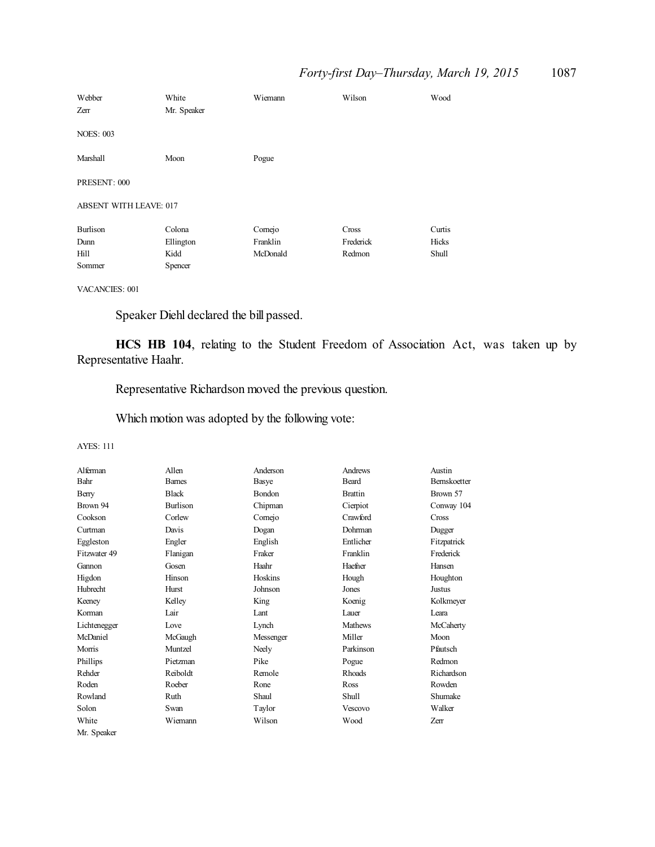| Webber<br>Zerr                | White<br>Mr. Speaker | Wiemann  | Wilson    | Wood   |
|-------------------------------|----------------------|----------|-----------|--------|
| <b>NOES: 003</b>              |                      |          |           |        |
| Marshall                      | Moon                 | Pogue    |           |        |
| PRESENT: 000                  |                      |          |           |        |
| <b>ABSENT WITH LEAVE: 017</b> |                      |          |           |        |
| Burlison                      | Colona               | Comejo   | Cross     | Curtis |
| Dunn                          | Ellington            | Franklin | Frederick | Hicks  |
| Hill                          | Kidd                 | McDonald | Redmon    | Shull  |
| Sommer                        | Spencer              |          |           |        |

VACANCIES: 001

Speaker Diehl declared the bill passed.

**HCS HB 104**, relating to the Student Freedom of Association Act, was taken up by Representative Haahr.

Representative Richardson moved the previous question.

Which motion was adopted by the following vote:

| Alferman     | Allen         | Anderson  | Andrews        | Austin              |
|--------------|---------------|-----------|----------------|---------------------|
| Bahr         | <b>Barnes</b> | Basye     | Beard          | <b>Bernskoetter</b> |
| Berry        | <b>Black</b>  | Bondon    | <b>Brattin</b> | Brown 57            |
| Brown 94     | Burlison      | Chipman   | Cierpiot       | Conway 104          |
| Cookson      | Corlew        | Comejo    | Crawford       | Cross               |
| Curtman      | Davis         | Dogan     | Dohrman        | Dugger              |
| Eggleston    | Engler        | English   | Entlicher      | Fitzpatrick         |
| Fitzwater 49 | Flanigan      | Fraker    | Franklin       | Frederick           |
| Gannon       | Gosen         | Haahr     | Haefner        | Hansen              |
| Higdon       | Hinson        | Hoskins   | Hough          | Houghton            |
| Hubrecht     | Hurst         | Johnson   | Jones          | Justus              |
| Keeney       | Kelley        | King      | Koenig         | Kolkmeyer           |
| Korman       | Lair          | Lant      | Lauer          | Leara               |
| Lichtenegger | Love          | Lynch     | Mathews        | McCaherty           |
| McDaniel     | McGaugh       | Messenger | Miller         | Moon                |
| Morris       | Muntzel       | Neely     | Parkinson      | Pfautsch            |
| Phillips     | Pietzman      | Pike      | Pogue          | Redmon              |
| Rehder       | Reiboldt      | Remole    | <b>Rhoads</b>  | Richardson          |
| Roden        | Roeber        | Rone      | Ross           | Rowden              |
| Rowland      | Ruth          | Shaul     | Shull          | Shumake             |
| Solon        | Swan          | Taylor    | Vescovo        | Walker              |
| White        | Wiemann       | Wilson    | Wood           | Zerr                |
| Mr. Speaker  |               |           |                |                     |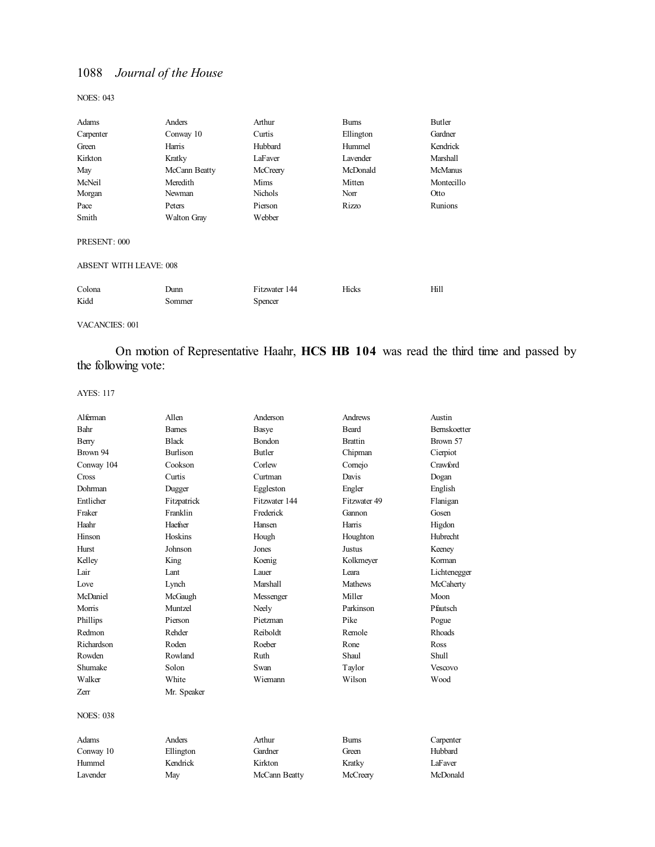NOES: 043

| Adams                  | Anders             | Arthur                   | <b>Burns</b> | Butler         |
|------------------------|--------------------|--------------------------|--------------|----------------|
| Carpenter              | Conway 10          | Curtis                   | Ellington    | Gardner        |
| Green                  | Harris             | Hubbard                  | Hummel       | Kendrick       |
| Kirkton                | Kratky             | LaFaver                  | Lavender     | Marshall       |
| May                    | McCann Beatty      | McCreery                 | McDonald     | <b>McManus</b> |
| McNeil                 | Meredith           | Mims                     | Mitten       | Montecillo     |
| Morgan                 | Newman             | Nichols                  | Norr         | Otto           |
| Pace                   | Peters             | Pierson                  | Rizzo        | <b>Runions</b> |
| Smith                  | <b>Walton Gray</b> | Webber                   |              |                |
| PRESENT: 000           |                    |                          |              |                |
| ABSENT WITH LEAVE: 008 |                    |                          |              |                |
| Colona<br>Kidd         | Dunn<br>Sommer     | Fitzwater 144<br>Spencer | Hicks        | Hill           |
|                        |                    |                          |              |                |

VACANCIES: 001

## On motion of Representative Haahr, **HCS HB 104** was read the third time and passed by the following vote:

| Alferman         | Allen           | Anderson      | Andrews        | Austin              |
|------------------|-----------------|---------------|----------------|---------------------|
| Bahr             | <b>Barnes</b>   | Basye         | <b>Beard</b>   | <b>Bernskoetter</b> |
| Berry            | <b>Black</b>    | Bondon        | <b>Brattin</b> | Brown 57            |
| Brown 94         | <b>Burlison</b> | <b>Butler</b> | Chipman        | Cierpiot            |
| Conway 104       | Cookson         | Corlew        | Comejo         | Crawford            |
| Cross            | Curtis          | Curtman       | Davis          | Dogan               |
| Dohrman          | Dugger          | Eggleston     | Engler         | English             |
| Entlicher        | Fitzpatrick     | Fitzwater 144 | Fitzwater 49   | Flanigan            |
| Fraker           | Franklin        | Frederick     | Gannon         | Gosen               |
| Haahr            | Haefner         | Hansen        | Harris         | Higdon              |
| Hinson           | Hoskins         | Hough         | Houghton       | <b>Hubrecht</b>     |
| Hurst            | Johnson         | Jones         | <b>Justus</b>  | Keeney              |
| Kelley           | King            | Koenig        | Kolkmeyer      | Korman              |
| Lair             | Lant            | Lauer         | I eara         | Lichtenegger        |
| Love             | Lynch           | Marshall      | <b>Mathews</b> | McCaherty           |
| McDaniel         | McGaugh         | Messenger     | Miller         | Moon                |
| Morris           | Muntzel         | Neely         | Parkinson      | Pfautsch            |
| Phillips         | Pierson         | Pietzman      | Pike           | Pogue               |
| Redmon           | Rehder          | Reiboldt      | Remole         | Rhoads              |
| Richardson       | Roden           | Roeber        | Rone           | Ross                |
| Rowden           | Rowland         | Ruth          | Shaul          | <b>Shull</b>        |
| Shumake          | Solon           | Swan          | Taylor         | Vescovo             |
| Walker           | White           | Wiemann       | Wilson         | Wood                |
| Zerr             | Mr. Speaker     |               |                |                     |
| <b>NOES: 038</b> |                 |               |                |                     |
| Adams            | Anders          | Arthur        | <b>Burns</b>   | Carpenter           |
| Conway 10        | Ellington       | Gardner       | Green          | Hubbard             |
| Hummel           | Kendrick        | Kirkton       | Kratky         | LaFaver             |
| Lavender         | May             | McCann Beatty | McCreery       | McDonald            |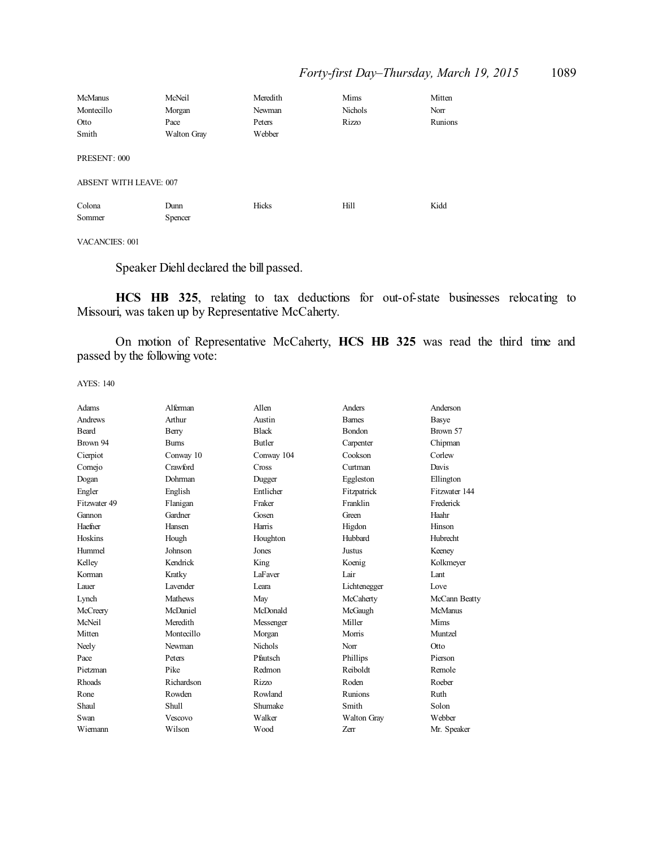| <b>McManus</b>                | McNeil             | Meredith | Mims    | Mitten  |
|-------------------------------|--------------------|----------|---------|---------|
| Montecillo                    | Morgan             | Newman   | Nichols | Norr    |
| Otto                          | Pace               | Peters   | Rizzo   | Runions |
| Smith                         | <b>Walton Gray</b> | Webber   |         |         |
|                               |                    |          |         |         |
| PRESENT: 000                  |                    |          |         |         |
|                               |                    |          |         |         |
| <b>ABSENT WITH LEAVE: 007</b> |                    |          |         |         |
| Colona                        | Dunn               | Hicks    | Hill    | Kidd    |
| Sommer                        | Spencer            |          |         |         |
|                               |                    |          |         |         |

#### VACANCIES: 001

Speaker Diehl declared the bill passed.

**HCS HB 325**, relating to tax deductions for out-of-state businesses relocating to Missouri, was taken up by Representative McCaherty.

On motion of Representative McCaherty, **HCS HB 325** was read the third time and passed by the following vote:

| Adams        | Alferman        | Allen          | Anders         | Anderson      |
|--------------|-----------------|----------------|----------------|---------------|
| Andrews      | Arthur          | Austin         | <b>Bames</b>   | Basye         |
| <b>Beard</b> | Berry           | <b>Black</b>   | Bondon         | Brown 57      |
| Brown 94     | <b>Bums</b>     | <b>Butler</b>  | Carpenter      | Chipman       |
| Cierpiot     | Conway 10       | Conway 104     | Cookson        | Corlew        |
| Cornejo      | Crawford        | Cross          | Curtman        | Davis         |
| Dogan        | Dohrman         | Dugger         | Eggleston      | Ellington     |
| Engler       | English         | Entlicher      | Fitzpatrick    | Fitzwater 144 |
| Fitzwater 49 | Flanigan        | Fraker         | Franklin       | Frederick     |
| Gannon       | Gardner         | Gosen          | Green          | Haahr         |
| Haefner      | Hansen          | Harris         | Higdon         | Hinson        |
| Hoskins      | Hough           | Houghton       | Hubbard        | Hubrecht      |
| Hummel       | Johnson         | Jones          | Justus         | Keeney        |
| Kelley       | Kendrick        | King           | Koenig         | Kolkmeyer     |
| Korman       | Kratky          | LaFaver        | Lair           | Lant          |
| Lauer        | <b>Lavender</b> | Leara          | Lichtenegger   | Love          |
| Lynch        | Mathews         | May            | McCaherty      | McCann Beatty |
| McCreery     | McDaniel        | McDonald       | McGaugh        | McManus       |
| McNeil       | Meredith        | Messenger      | Miller         | Mims          |
| Mitten       | Montecillo      | Morgan         | Morris         | Muntzel       |
| Neely        | Newman          | <b>Nichols</b> | Norr           | Otto          |
| Pace         | Peters          | Pfautsch       | Phillips       | Pierson       |
| Pietzman     | Pike            | Redmon         | Reiboldt       | Remole        |
| Rhoads       | Richardson      | Rizzo          | Roden          | Roeber        |
| Rone         | Rowden          | Rowland        | <b>Runions</b> | Ruth          |
| Shaul        | Shull           | Shumake        | Smith          | Solon         |
| Swan         | Vescovo         | Walker         | Walton Gray    | Webber        |
| Wiemann      | Wilson          | Wood           | Zerr           | Mr. Speaker   |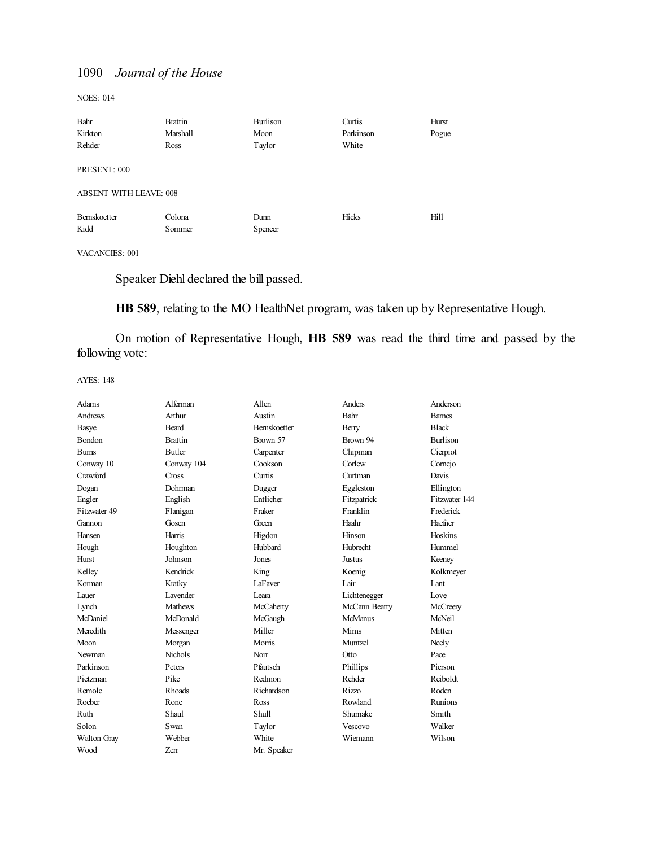NOES: 014

| Bahr                          | <b>Brattin</b> | Burlison | Curtis    | Hurst |
|-------------------------------|----------------|----------|-----------|-------|
| Kirkton                       | Marshall       | Moon     | Parkinson | Pogue |
| Rehder                        | Ross           | Taylor   | White     |       |
| PRESENT: 000                  |                |          |           |       |
| <b>ABSENT WITH LEAVE: 008</b> |                |          |           |       |
| Bernskoetter                  | Colona         | Dunn     | Hicks     | Hill  |
| Kidd                          | Sommer         | Spencer  |           |       |

VACANCIES: 001

Speaker Diehl declared the bill passed.

**HB 589**, relating to the MO HealthNet program, was taken up by Representative Hough.

On motion of Representative Hough, **HB 589** was read the third time and passed by the following vote:

| Adams        | Alferman        | Allen               | Anders          | Anderson        |
|--------------|-----------------|---------------------|-----------------|-----------------|
| Andrews      | Arthur          | Austin              | Bahr            | <b>Bames</b>    |
| Basye        | Beard           | <b>Bernskoetter</b> | Berry           | <b>Black</b>    |
| Bondon       | <b>Brattin</b>  | Brown 57            | Brown 94        | <b>Burlison</b> |
| <b>Burns</b> | Butler          | Carpenter           | Chipman         | Cierpiot        |
| Conway 10    | Conway 104      | Cookson             | Corlew          | Comejo          |
| Crawford     | Cross           | Curtis              | Curtman         | Davis           |
| Dogan        | Dohrman         | Dugger              | Eggleston       | Ellington       |
| Engler       | English         | Entlicher           | Fitzpatrick     | Fitzwater 144   |
| Fitzwater 49 | Flanigan        | Fraker              | Franklin        | Frederick       |
| Gannon       | Gosen           | Green               | Haahr           | Haefner         |
| Hansen       | Harris          | Higdon              | Hinson          | Hoskins         |
| Hough        | Houghton        | Hubbard             | <b>Hubrecht</b> | Hummel          |
| Hurst        | Johnson         | Jones               | Justus          | Keeney          |
| Kelley       | Kendrick        | King                | Koenig          | Kolkmeyer       |
| Korman       | Kratky          | LaFaver             | Lair            | Lant            |
| Lauer        | <b>Lavender</b> | Leara               | Lichtenegger    | Love            |
| Lynch        | <b>Mathews</b>  | McCaherty           | McCann Beatty   | McCreery        |
| McDaniel     | McDonald        | McGaugh             | McManus         | McNeil          |
| Meredith     | Messenger       | Miller              | Mims            | Mitten          |
| Moon         | Morgan          | Morris              | Muntzel         | Neely           |
| Newman       | <b>Nichols</b>  | Norr                | Otto            | Pace            |
| Parkinson    | Peters          | Pfautsch            | Phillips        | Pierson         |
| Pietzman     | Pike            | Redmon              | Rehder          | Reiboldt        |
| Remole       | <b>Rhoads</b>   | Richardson          | Rizzo           | Roden           |
| Roeber       | Rone            | Ross                | Rowland         | <b>Runions</b>  |
| Ruth         | Shaul           | <b>Shull</b>        | Shumake         | Smith           |
| Solon        | Swan            | Taylor              | <b>Vescovo</b>  | Walker          |
| Walton Gray  | Webber          | White               | Wiemann         | Wilson          |
| Wood         | Zerr            | Mr. Speaker         |                 |                 |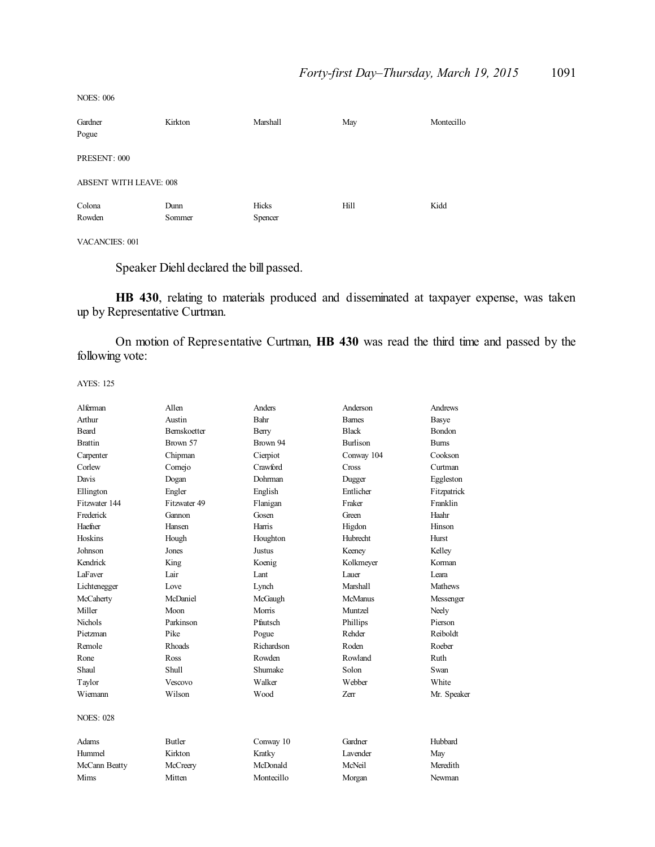Gardner Kirkton Marshall May Montecillo Pogue PRESENT: 000 ABSENT WITH LEAVE: 008 Colona Dunn Hicks Hill Kidd Rowden Sommer Spencer

#### VACANCIES: 001

NOES: 006

Speaker Diehl declared the bill passed.

**HB 430**, relating to materials produced and disseminated at taxpayer expense, was taken up by Representative Curtman.

On motion of Representative Curtman, **HB 430** was read the third time and passed by the following vote:

| Alferman         | Allen               | Anders     | Anderson        | Andrews        |
|------------------|---------------------|------------|-----------------|----------------|
| Arthur           | Austin              | Bahr       | <b>Barnes</b>   | Basye          |
| Beard            | <b>Bernskoetter</b> | Berry      | <b>Black</b>    | Bondon         |
| <b>Brattin</b>   | Brown 57            | Brown 94   | <b>Burlison</b> | <b>Burns</b>   |
| Carpenter        | Chipman             | Cierpiot   | Conway 104      | Cookson        |
| Corlew           | Cornejo             | Crawford   | Cross           | Curtman        |
| Davis            | Dogan               | Dohrman    | Dugger          | Eggleston      |
| Ellington        | Engler              | English    | Entlicher       | Fitzpatrick    |
| Fitzwater 144    | Fitzwater 49        | Flanigan   | Fraker          | Franklin       |
| Frederick        | Gannon              | Gosen      | Green           | Haahr          |
| Haefner          | Hansen              | Harris     | Higdon          | Hinson         |
| Hoskins          | Hough               | Houghton   | Hubrecht        | <b>Hurst</b>   |
| Johnson          | Jones               | Justus     | Keeney          | Kelley         |
| Kendrick         | King                | Koenig     | Kolkmeyer       | Korman         |
| LaFaver          | Lair                | Lant       | Lauer           | Leara          |
| Lichtenegger     | Love                | Lynch      | <b>Marshall</b> | <b>Mathews</b> |
| McCaherty        | McDaniel            | McGaugh    | McManus         | Messenger      |
| Miller           | Moon                | Morris     | Muntzel         | Neely          |
| <b>Nichols</b>   | Parkinson           | Pfautsch   | Phillips        | Pierson        |
| Pietzman         | Pike                | Pogue      | Rehder          | Reiboldt       |
| Remole           | Rhoads              | Richardson | Roden           | Roeber         |
| Rone             | Ross                | Rowden     | Rowland         | Ruth           |
| Shaul            | Shull               | Shumake    | Solon           | Swan           |
| Taylor           | Vescovo             | Walker     | Webber          | White          |
| Wiemann          | Wilson              | Wood       | <b>Zerr</b>     | Mr. Speaker    |
| <b>NOES: 028</b> |                     |            |                 |                |
| Adams            | <b>Butler</b>       | Conway 10  | Gardner         | Hubbard        |
| Hummel           | Kirkton             | Kratky     | <b>Lavender</b> | May            |
| McCann Beatty    | McCreery            | McDonald   | McNeil          | Meredith       |
| Mims             | Mitten              | Montecillo | Morgan          | Newman         |
|                  |                     |            |                 |                |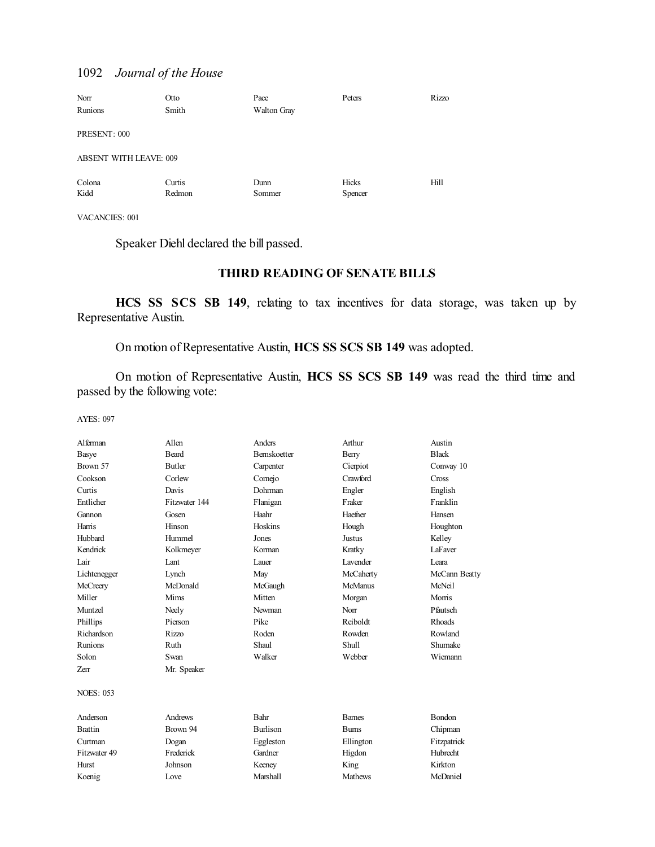| Norr                          | Otto   | Pace               | Peters  | Rizzo |
|-------------------------------|--------|--------------------|---------|-------|
| Runions                       | Smith  | <b>Walton Gray</b> |         |       |
| PRESENT: 000                  |        |                    |         |       |
| <b>ABSENT WITH LEAVE: 009</b> |        |                    |         |       |
| Colona                        | Curtis | Dunn               | Hicks   | Hill  |
| Kidd                          | Redmon | Sommer             | Spencer |       |

VACANCIES: 001

Speaker Diehl declared the bill passed.

## **THIRD READING OF SENATE BILLS**

**HCS SS SCS SB 149**, relating to tax incentives for data storage, was taken up by Representative Austin.

On motion of Representative Austin, **HCS SS SCS SB 149** was adopted.

On motion of Representative Austin, **HCS SS SCS SB 149** was read the third time and passed by the following vote:

| Alferman         | Allen         | Anders          | Arthur          | Austin        |
|------------------|---------------|-----------------|-----------------|---------------|
| Basye            | <b>Beard</b>  | Bernskoetter    | Berry           | <b>Black</b>  |
| Brown 57         | <b>Butler</b> | Carpenter       | Cierpiot        | Conway 10     |
| Cookson          | Corlew        | Comejo          | Crawford        | Cross         |
| Curtis           | Davis         | Dohrman         | Engler          | English       |
| Entlicher        | Fitzwater 144 | Flanigan        | Fraker          | Franklin      |
| Gannon           | Gosen         | Haahr           | Haefner         | Hansen        |
| Harris           | Hinson        | Hoskins         | Hough           | Houghton      |
| Hubbard          | Hummel        | Jones           | <b>Justus</b>   | Kelley        |
| Kendrick         | Kolkmeyer     | Korman          | Kratky          | LaFaver       |
| Lair             | Lant          | Lauer           | <b>Lavender</b> | I eara        |
| Lichtenegger     | Lynch         | May             | McCaherty       | McCann Beatty |
| McCreery         | McDonald      | McGaugh         | <b>McManus</b>  | McNeil        |
| Miller           | Mims          | Mitten          | Morgan          | Morris        |
| Muntzel          | Neely         | Newman          | Norr            | Pfautsch      |
| Phillips         | Pierson       | Pike            | Reiboldt        | <b>Rhoads</b> |
| Richardson       | <b>Rizzo</b>  | Roden           | Rowden          | Rowland       |
| Runions          | Ruth          | Shaul           | <b>Shull</b>    | Shumake       |
| Solon            | Swan          | Walker          | Webber          | Wiemann       |
| Zerr             | Mr. Speaker   |                 |                 |               |
| <b>NOES: 053</b> |               |                 |                 |               |
| Anderson         | Andrews       | <b>Bahr</b>     | <b>Bames</b>    | <b>Bondon</b> |
| <b>Brattin</b>   | Brown 94      | <b>Burlison</b> | <b>Burns</b>    | Chipman       |
| Curtman          | Dogan         | Eggleston       | Ellington       | Fitzpatrick   |
| Fitzwater 49     | Frederick     | Gardner         | Higdon          | Hubrecht      |
| Hurst            | Johnson       | Keeney          | King            | Kirkton       |
| Koenig           | Love          | <b>Marshall</b> | <b>Mathews</b>  | McDaniel      |
|                  |               |                 |                 |               |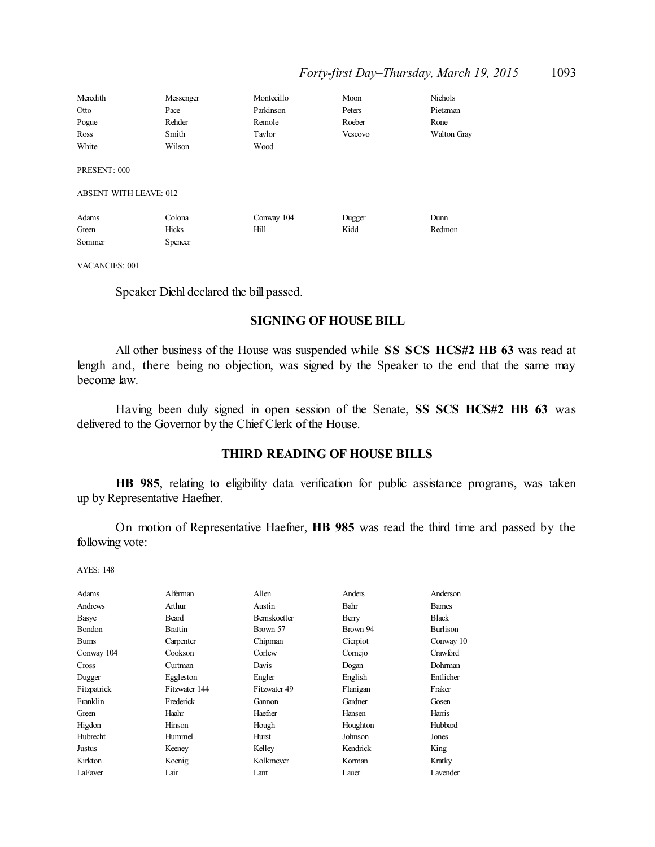| Meredith                                      | Messenger | Montecillo | Moon    | Nichols            |
|-----------------------------------------------|-----------|------------|---------|--------------------|
| Otto                                          | Pace      | Parkinson  | Peters  | Pietzman           |
| Pogue                                         | Rehder    | Remole     | Roeber  | Rone               |
| Ross                                          | Smith     | Taylor     | Vescovo | <b>Walton Gray</b> |
| White                                         | Wilson    | Wood       |         |                    |
| PRESENT: 000<br><b>ABSENT WITH LEAVE: 012</b> |           |            |         |                    |
| Adams                                         | Colona    | Conway 104 | Dugger  | Dunn               |
| Green                                         | Hicks     | Hill       | Kidd    | Redmon             |
| Sommer                                        | Spencer   |            |         |                    |

VACANCIES: 001

Speaker Diehl declared the bill passed.

#### **SIGNING OF HOUSE BILL**

All other business of the House was suspended while **SS SCS HCS#2 HB 63** was read at length and, there being no objection, was signed by the Speaker to the end that the same may become law.

Having been duly signed in open session of the Senate, **SS SCS HCS#2 HB 63** was delivered to the Governor by the ChiefClerk of the House.

#### **THIRD READING OF HOUSE BILLS**

**HB 985**, relating to eligibility data verification for public assistance programs, was taken up by Representative Haefner.

On motion of Representative Haefner, **HB 985** was read the third time and passed by the following vote:

| Adams        | Alferman       | Allen        | Anders   | Anderson      |
|--------------|----------------|--------------|----------|---------------|
| Andrews      | Arthur         | Austin       | Bahr     | <b>Barnes</b> |
| Basye        | Beard          | Bernskoetter | Berry    | <b>Black</b>  |
| Bondon       | <b>Brattin</b> | Brown 57     | Brown 94 | Burlison      |
| <b>Burns</b> | Carpenter      | Chipman      | Cierpiot | Conway 10     |
| Conway 104   | Cookson        | Corlew       | Comejo   | Crawford      |
| <b>Cross</b> | Curtman        | Davis        | Dogan    | Dohrman       |
| Dugger       | Eggleston      | Engler       | English  | Entlicher     |
| Fitzpatrick  | Fitzwater 144  | Fitzwater 49 | Flanigan | Fraker        |
| Franklin     | Frederick      | Gannon       | Gardner  | Gosen         |
| Green        | Haahr          | Haefner      | Hansen   | Harris        |
| Higdon       | Hinson         | Hough        | Houghton | Hubbard       |
| Hubrecht     | Hummel         | Hurst        | Johnson  | Jones         |
| Justus       | Keeney         | Kelley       | Kendrick | <b>King</b>   |
| Kirkton      | Koenig         | Kolkmeyer    | Korman   | Kratky        |
| LaFaver      | Lair           | Lant         | Lauer    | Lavender      |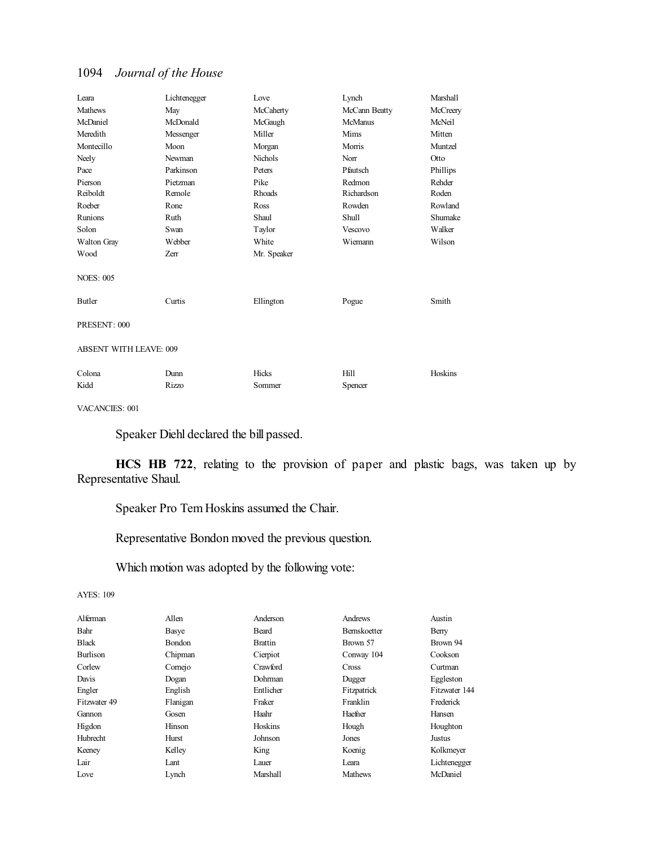| Leara                         | Lichtenegger | Love           | Lynch          | Marshall |
|-------------------------------|--------------|----------------|----------------|----------|
| <b>Mathews</b>                | May          | McCaherty      | McCann Beatty  | McCreery |
| McDaniel                      | McDonald     | McGaugh        | <b>McManus</b> | McNeil   |
| Meredith                      | Messenger    | Miller         | Mims           | Mitten   |
| Montecillo                    | Moon         | Morgan         | Morris         | Muntzel  |
| Neely                         | Newman       | <b>Nichols</b> | Norr           | Otto     |
| Pace                          | Parkinson    | Peters         | Pfautsch       | Phillips |
| Pierson                       | Pietzman     | Pike           | Redmon         | Rehder   |
| Reiboldt                      | Remole       | Rhoads         | Richardson     | Roden    |
| Roeber                        | Rone         | Ross           | Rowden         | Rowland  |
| Runions                       | Ruth         | Shaul          | Shull          | Shumake  |
| Solon                         | Swan         | Taylor         | Vescovo        | Walker   |
| Walton Gray                   | Webber       | White          | Wiemann        | Wilson   |
| Wood                          | Zerr         | Mr. Speaker    |                |          |
| <b>NOES: 005</b>              |              |                |                |          |
| Butler                        | Curtis       | Ellington      | Pogue          | Smith    |
| PRESENT: 000                  |              |                |                |          |
| <b>ABSENT WITH LEAVE: 009</b> |              |                |                |          |
| Colona                        | Dunn         | Hicks          | Hill           | Hoskins  |
| Kidd                          | Rizzo        | Sommer         | Spencer        |          |

VACANCIES: 001

Speaker Diehl declared the bill passed.

**HCS HB 722**, relating to the provision of paper and plastic bags, was taken up by Representative Shaul.

Speaker Pro Tem Hoskins assumed the Chair.

Representative Bondon moved the previous question.

Which motion was adopted by the following vote:

| Alferman     | Allen    | Anderson       | Andrews        | Austin        |
|--------------|----------|----------------|----------------|---------------|
| Bahr         | Basye    | Beard          | Bernskoetter   | Berry         |
| <b>Black</b> | Bondon   | <b>Brattin</b> | Brown 57       | Brown 94      |
| Burlison     | Chipman  | Cierpiot       | Conway 104     | Cookson       |
| Corlew       | Comejo   | Crawford       | Cross          | Curtman       |
| Davis        | Dogan    | Dohrman        | Dugger         | Eggleston     |
| Engler       | English  | Entlicher      | Fitzpatrick    | Fitzwater 144 |
| Fitzwater 49 | Flanigan | Fraker         | Franklin       | Frederick     |
| Gannon       | Gosen    | Haahr          | Haefner        | Hansen        |
| Higdon       | Hinson   | Hoskins        | Hough          | Houghton      |
| Hubrecht     | Hurst    | Johnson        | Jones          | Justus        |
| Keeney       | Kelley   | King           | Koenig         | Kolkmeyer     |
| Lair         | Lant     | Lauer          | Leara          | Lichtenegger  |
| Love         | Lynch    | Marshall       | <b>Mathews</b> | McDaniel      |
|              |          |                |                |               |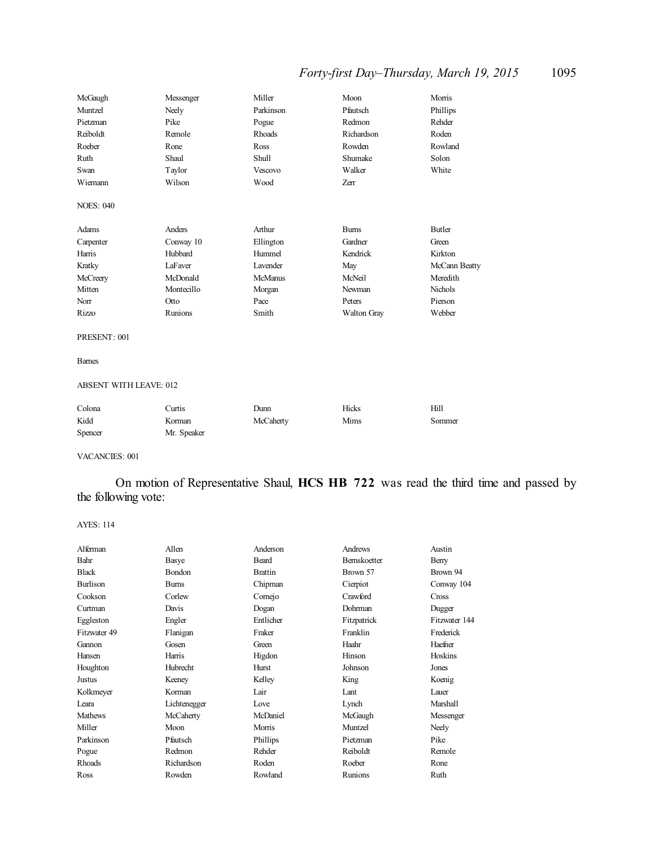## *Forty-first Day–Thursday, March 19, 2015* 1095

| McGaugh          | Messenger  | Miller         | Moon               | Morris         |
|------------------|------------|----------------|--------------------|----------------|
| Muntzel          | Neely      | Parkinson      | Pfautsch           | Phillips       |
| Pietzman         | Pike       | Pogue          | Redmon             | Rehder         |
| Reiboldt         | Remole     | Rhoads         | Richardson         | Roden          |
| Roeber           | Rone       | Ross           | Rowden             | Rowland        |
| Ruth             | Shaul      | Shull          | Shumake            | Solon          |
| Swan             | Taylor     | Vescovo        | Walker             | White          |
| Wiemann          | Wilson     | Wood           | Zerr               |                |
| <b>NOES: 040</b> |            |                |                    |                |
| Adams            | Anders     | Arthur         | <b>Burns</b>       | Butler         |
| Carpenter        | Conway 10  | Ellington      | Gardner            | Green          |
| Harris           | Hubbard    | Hummel         | Kendrick           | Kirkton        |
| Kratky           | LaFaver    | Lavender       | May                | McCann Beatty  |
| McCreery         | McDonald   | <b>McManus</b> | McNeil             | Meredith       |
| Mitten           | Montecillo | Morgan         | Newman             | <b>Nichols</b> |
| Norr             | Otto       | Pace           | Peters             | Pierson        |
| Rizzo            | Runions    | Smith          | <b>Walton Gray</b> | Webber         |

PRESENT: 001

Barnes

#### ABSENT WITH LEAVE: 012

| Colona  | Curtis      | Dunn      | Hicks | Hill   |
|---------|-------------|-----------|-------|--------|
| Kidd    | Korman      | McCaherty | Mims  | Sommer |
| Spencer | Mr. Speaker |           |       |        |

#### VACANCIES: 001

On motion of Representative Shaul, **HCS HB 722** was read the third time and passed by the following vote:

| Alferman       | Allen        | Anderson       | Andrews      | Austin        |
|----------------|--------------|----------------|--------------|---------------|
| Bahr           | Basye        | Beard          | Bernskoetter | Berry         |
| <b>Black</b>   | Bondon       | <b>Brattin</b> | Brown 57     | Brown 94      |
| Burlison       | <b>Burns</b> | Chipman        | Cierpiot     | Conway 104    |
| Cookson        | Corlew       | Comejo         | Crawford     | Cross         |
| Curtman        | Davis        | Dogan          | Dohrman      | Dugger        |
| Eggleston      | Engler       | Entlicher      | Fitzpatrick  | Fitzwater 144 |
| Fitzwater 49   | Flanigan     | Fraker         | Franklin     | Frederick     |
| Gannon         | Gosen        | Green          | Haahr        | Haefner       |
| Hansen         | Harris       | Higdon         | Hinson       | Hoskins       |
| Houghton       | Hubrecht     | Hurst          | Johnson      | Jones         |
| Justus         | Keeney       | Kelley         | King         | Koenig        |
| Kolkmeyer      | Korman       | Lair           | Lant         | Lauer         |
| Leara          | Lichtenegger | Love           | Lynch        | Marshall      |
| <b>Mathews</b> | McCaherty    | McDaniel       | McGaugh      | Messenger     |
| Miller         | Moon         | Morris         | Muntzel      | Neely         |
| Parkinson      | Pfautsch     | Phillips       | Pietzman     | Pike          |
| Pogue          | Redmon       | Rehder         | Reiboldt     | Remole        |
| Rhoads         | Richardson   | Roden          | Roeber       | Rone          |
| Ross           | Rowden       | Rowland        | Runions      | Ruth          |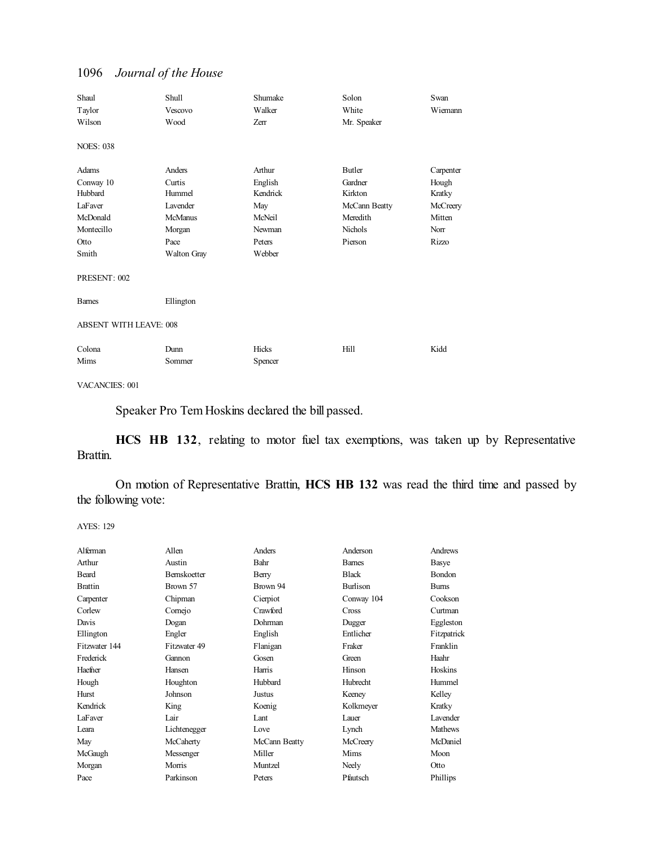| Shaul<br>Taylor<br>Wilson                                                           | <b>Shull</b><br>Vescovo<br>Wood                                                                  | Shumake<br>Walker<br>Zerr                                                    | Solon<br>White<br>Mr. Speaker                                                   | Swan<br>Wiemann                                                     |  |  |
|-------------------------------------------------------------------------------------|--------------------------------------------------------------------------------------------------|------------------------------------------------------------------------------|---------------------------------------------------------------------------------|---------------------------------------------------------------------|--|--|
| <b>NOES: 038</b>                                                                    |                                                                                                  |                                                                              |                                                                                 |                                                                     |  |  |
| Adams<br>Conway 10<br>Hubbard<br>LaFaver<br>McDonald<br>Montecillo<br>Otto<br>Smith | Anders<br>Curtis<br>Hummel<br>Lavender<br><b>McManus</b><br>Morgan<br>Pace<br><b>Walton Gray</b> | Arthur<br>English<br>Kendrick<br>May<br>McNeil<br>Newman<br>Peters<br>Webber | Butler<br>Gardner<br>Kirkton<br>McCann Beatty<br>Meredith<br>Nichols<br>Pierson | Carpenter<br>Hough<br>Kratky<br>McCreery<br>Mitten<br>Norr<br>Rizzo |  |  |
| PRESENT: 002                                                                        |                                                                                                  |                                                                              |                                                                                 |                                                                     |  |  |
| <b>Barnes</b>                                                                       | Ellington                                                                                        |                                                                              |                                                                                 |                                                                     |  |  |
|                                                                                     | <b>ABSENT WITH LEAVE: 008</b>                                                                    |                                                                              |                                                                                 |                                                                     |  |  |
| Colona<br>Mims                                                                      | Dunn<br>Sommer                                                                                   | Hicks<br>Spencer                                                             | Hill                                                                            | Kidd                                                                |  |  |

VACANCIES: 001

Speaker Pro Tem Hoskins declared the bill passed.

**HCS HB 132**, relating to motor fuel tax exemptions, was taken up by Representative Brattin.

On motion of Representative Brattin, **HCS HB 132** was read the third time and passed by the following vote:

| Alferman       | Allen               | Anders        | Anderson     | Andrews        |
|----------------|---------------------|---------------|--------------|----------------|
| Arthur         | Austin              | Bahr          | <b>Bames</b> | Basye          |
| Beard          | <b>Bernskoetter</b> | Berry         | <b>Black</b> | <b>Bondon</b>  |
| <b>Brattin</b> | Brown 57            | Brown 94      | Burlison     | <b>Bums</b>    |
| Carpenter      | Chipman             | Cierpiot      | Conway 104   | Cookson        |
| Corlew         | Comejo              | Crawford      | Cross        | Curtman        |
| Davis          | Dogan               | Dohrman       | Dugger       | Eggleston      |
| Ellington      | Engler              | English       | Entlicher    | Fitzpatrick    |
| Fitzwater 144  | Fitzwater 49        | Flanigan      | Fraker       | Franklin       |
| Frederick      | Gannon              | Gosen         | Green        | Haahr          |
| Haefner        | Hansen              | Harris        | Hinson       | Hoskins        |
| Hough          | Houghton            | Hubbard       | Hubrecht     | Hummel         |
| Hurst          | Johnson             | Justus        | Keeney       | Kelley         |
| Kendrick       | King                | Koenig        | Kolkmeyer    | Kratky         |
| <b>LaFaver</b> | Lair                | Lant          | Lauer        | Lavender       |
| Leara          | Lichtenegger        | Love          | Lynch        | <b>Mathews</b> |
| May            | McCaherty           | McCann Beatty | McCreery     | McDaniel       |
| McGaugh        | Messenger           | Miller        | Mims         | Moon           |
| Morgan         | Morris              | Muntzel       | Neely        | Otto           |
| Pace           | Parkinson           | Peters        | Pfautsch     | Phillips       |
|                |                     |               |              |                |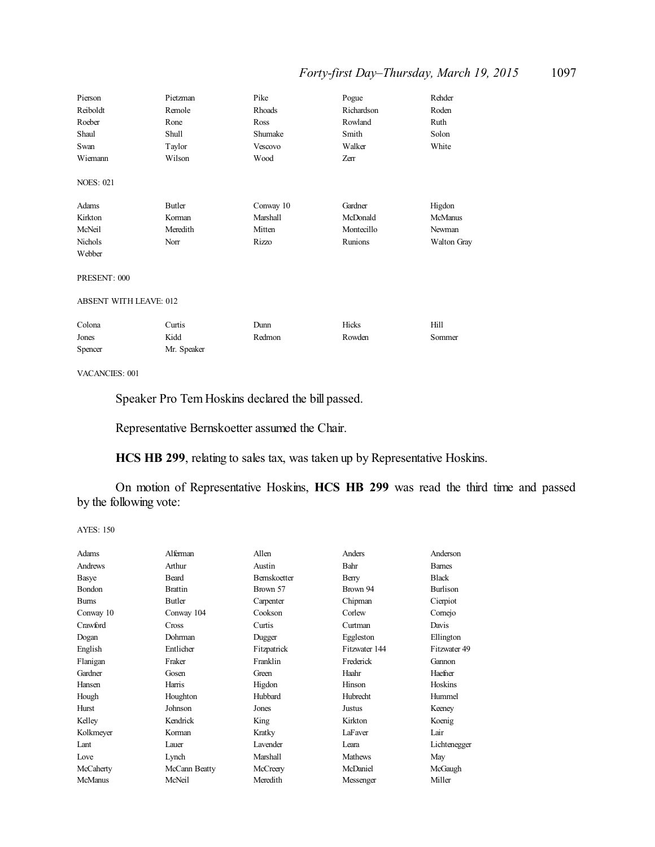## *Forty-first Day–Thursday, March 19, 2015* 1097

| Pierson                       | Pietzman     | Pike      | Pogue      | Rehder         |  |
|-------------------------------|--------------|-----------|------------|----------------|--|
| Reiboldt                      | Remole       | Rhoads    | Richardson | Roden          |  |
| Roeber                        | Rone         | Ross      | Rowland    | Ruth           |  |
| Shaul                         | <b>Shull</b> | Shumake   | Smith      | Solon          |  |
| Swan                          | Taylor       | Vescovo   | Walker     | White          |  |
| Wiemann                       | Wilson       | Wood      | Zerr       |                |  |
| <b>NOES: 021</b>              |              |           |            |                |  |
| Adams                         | Butler       | Conway 10 | Gardner    | Higdon         |  |
| Kirkton                       | Korman       | Marshall  | McDonald   | <b>McManus</b> |  |
| McNeil                        | Meredith     | Mitten    | Montecillo | Newman         |  |
| Nichols                       | Norr         | Rizzo     | Runions    | Walton Gray    |  |
| Webber                        |              |           |            |                |  |
| PRESENT: 000                  |              |           |            |                |  |
| <b>ABSENT WITH LEAVE: 012</b> |              |           |            |                |  |
| Colona                        | Curtis       | Dunn      | Hicks      | Hill           |  |
| Jones                         | Kidd         | Redmon    | Rowden     | Sommer         |  |
| Spencer                       | Mr. Speaker  |           |            |                |  |

VACANCIES: 001

Speaker Pro Tem Hoskins declared the bill passed.

Representative Bernskoetter assumed the Chair.

**HCS HB 299**, relating to sales tax, was taken up by Representative Hoskins.

On motion of Representative Hoskins, **HCS HB 299** was read the third time and passed by the following vote:

| Adams          | Alferman       | Allen               | Anders          | Anderson        |
|----------------|----------------|---------------------|-----------------|-----------------|
| Andrews        | Arthur         | Austin              | Bahr            | <b>Bames</b>    |
| Basye          | <b>Beard</b>   | <b>Bernskoetter</b> | Berry           | <b>Black</b>    |
| Bondon         | <b>Brattin</b> | Brown 57            | Brown 94        | <b>Burlison</b> |
| <b>Burns</b>   | Butler         | Carpenter           | Chipman         | Cierpiot        |
| Conway 10      | Conway 104     | Cookson             | Corlew          | Comejo          |
| Crawford       | Cross          | Curtis              | Curtman         | Davis           |
| Dogan          | Dohrman        | Dugger              | Eggleston       | Ellington       |
| English        | Entlicher      | Fitzpatrick         | Fitzwater 144   | Fitzwater 49    |
| Flanigan       | Fraker         | Franklin            | Frederick       | Gannon          |
| Gardner        | Gosen          | Green               | Haahr           | Haefner         |
| Hansen         | Harris         | Higdon              | Hinson          | Hoskins         |
| Hough          | Houghton       | Hubbard             | <b>Hubrecht</b> | Hummel          |
| Hurst          | Johnson        | Jones               | Justus          | Keeney          |
| Kelley         | Kendrick       | King                | Kirkton         | Koenig          |
| Kolkmeyer      | Korman         | Kratky              | LaFaver         | Lair            |
| Lant           | Lauer          | <b>Lavender</b>     | I eara          | Lichtenegger    |
| Love           | Lynch          | Marshall            | <b>Mathews</b>  | May             |
| McCaherty      | McCann Beatty  | McCreery            | McDaniel        | McGaugh         |
| <b>McManus</b> | McNeil         | Meredith            | Messenger       | Miller          |
|                |                |                     |                 |                 |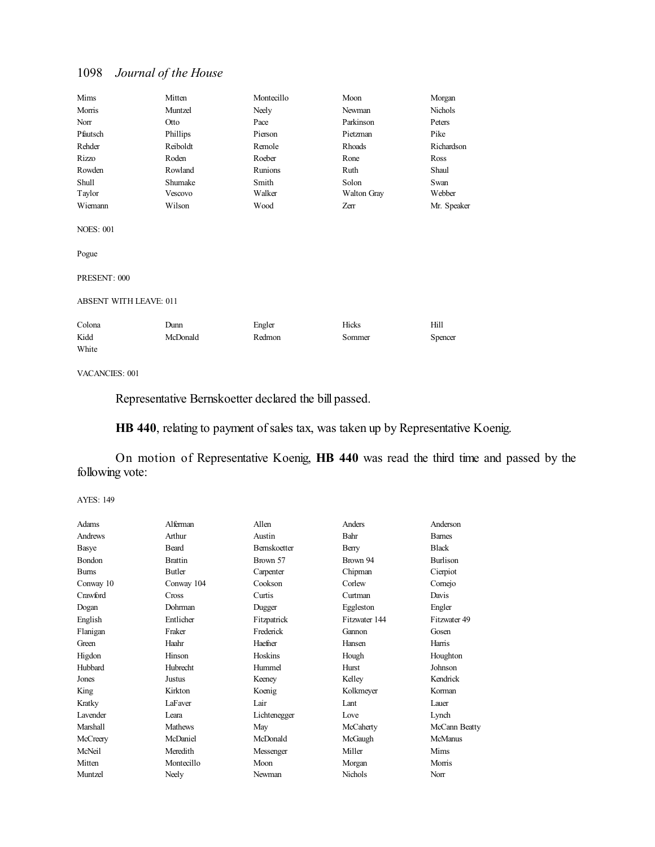| Mims                          | Mitten   | Montecillo | Moon        | Morgan      |  |
|-------------------------------|----------|------------|-------------|-------------|--|
| Morris                        | Muntzel  | Neely      | Newman      | Nichols     |  |
| Norr                          | Otto     | Pace       | Parkinson   | Peters      |  |
| Pfautsch                      | Phillips | Pierson    | Pietzman    | Pike        |  |
| Rehder                        | Reiboldt | Remole     | Rhoads      | Richardson  |  |
| Rizzo                         | Roden    | Roeber     | Rone        | Ross        |  |
| Rowden                        | Rowland  | Runions    | Ruth        | Shaul       |  |
| Shull                         | Shumake  | Smith      | Solon       | Swan        |  |
| Taylor                        | Vescovo  | Walker     | Walton Gray | Webber      |  |
| Wiemann                       | Wilson   | Wood       | Zerr        | Mr. Speaker |  |
| <b>NOES: 001</b><br>Pogue     |          |            |             |             |  |
| PRESENT: 000                  |          |            |             |             |  |
| <b>ABSENT WITH LEAVE: 011</b> |          |            |             |             |  |
| Colona                        | Dunn     | Engler     | Hicks       | Hill        |  |
| Kidd                          | McDonald | Redmon     | Sommer      | Spencer     |  |
| White                         |          |            |             |             |  |

#### VACANCIES: 001

Representative Bernskoetter declared the bill passed.

**HB 440**, relating to payment of sales tax, was taken up by Representative Koenig.

On motion of Representative Koenig, **HB 440** was read the third time and passed by the following vote:

| Adams                | Alferman        | Allen               | Anders         | Anderson        |
|----------------------|-----------------|---------------------|----------------|-----------------|
| Andrews              | Arthur          | Austin              | Bahr           | <b>Bames</b>    |
| Basye                | <b>Beard</b>    | <b>Bernskoetter</b> | Berry          | <b>Black</b>    |
| <b>Bondon</b>        | <b>Brattin</b>  | Brown 57            | Brown 94       | <b>Burlison</b> |
| <b>Burns</b>         | Butler          | Carpenter           | Chipman        | Cierpiot        |
| Conway 10            | Conway 104      | Cookson             | Corlew         | Comejo          |
| Crawford             | <b>Cross</b>    | Curtis              | Curtman        | Davis           |
| Dogan                | Dohrman         | Dugger              | Eggleston      | Engler          |
| English              | Entlicher       | Fitzpatrick         | Fitzwater 144  | Fitzwater 49    |
| Flanigan             | Fraker          | Frederick           | Gannon         | Gosen           |
| Green                | Haahr           | Haefner             | Hansen         | Harris          |
| Higdon               | Hinson          | Hoskins             | Hough          | Houghton        |
| Hubbard              | <b>Hubrecht</b> | Hummel              | Hurst          | Johnson         |
| Jones                | Justus          | Keeney              | Kelley         | Kendrick        |
| King                 | Kirkton         | Koenig              | Kolkmeyer      | Korman          |
| Kratky               | LaFaver         | Lair                | Lant           | Lauer           |
| L <sub>avender</sub> | Leara           | Lichtenegger        | Love           | Lynch           |
| Marshall             | <b>Mathews</b>  | May                 | McCaherty      | McCann Beatty   |
| McCreery             | McDaniel        | McDonald            | McGaugh        | McManus         |
| McNeil               | Meredith        | Messenger           | Miller         | Mims            |
| Mitten               | Montecillo      | Moon                | Morgan         | Morris          |
| Muntzel              | Neely           | Newman              | <b>Nichols</b> | Norr            |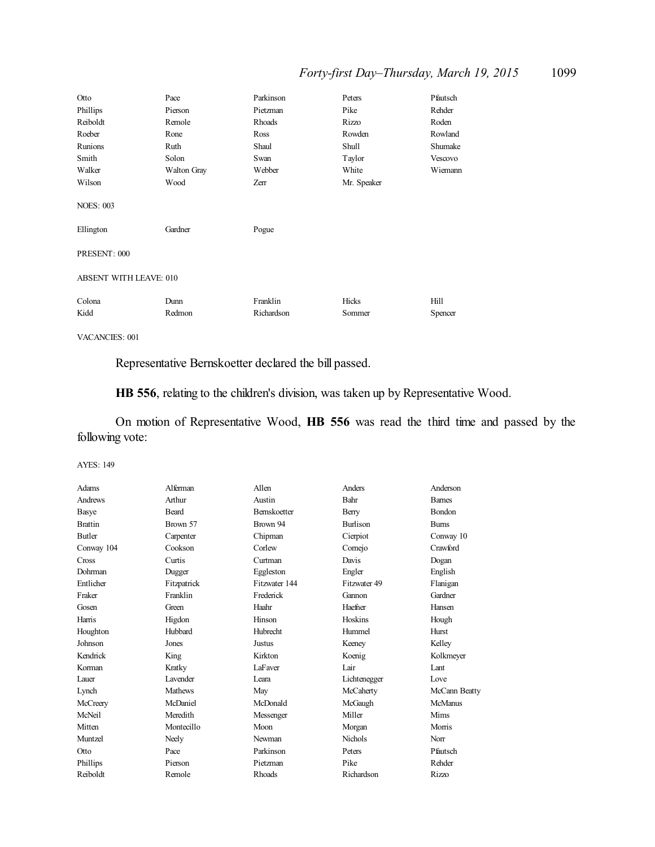## *Forty-first Day–Thursday, March 19, 2015* 1099

| Otto                   | Pace               | Parkinson  | Peters      | Pfautsch |
|------------------------|--------------------|------------|-------------|----------|
| Phillips               | Pierson            | Pietzman   | Pike        | Rehder   |
| Reiboldt               | Remole             | Rhoads     | Rizzo       | Roden    |
| Roeber                 | Rone               | Ross       | Rowden      | Rowland  |
| Runions                | Ruth               | Shaul      | Shull       | Shumake  |
| Smith                  | Solon              | Swan       | Taylor      | Vescovo  |
| Walker                 | <b>Walton Gray</b> | Webber     | White       | Wiemann  |
| Wilson                 | Wood               | Zerr       | Mr. Speaker |          |
| <b>NOES: 003</b>       |                    |            |             |          |
| Ellington              | Gardner            | Pogue      |             |          |
| PRESENT: 000           |                    |            |             |          |
| ABSENT WITH LEAVE: 010 |                    |            |             |          |
| Colona                 | Dunn               | Franklin   | Hicks       | Hill     |
| Kidd                   | Redmon             | Richardson | Sommer      | Spencer  |
|                        |                    |            |             |          |

VACANCIES: 001

Representative Bernskoetter declared the bill passed.

**HB 556**, relating to the children's division, was taken up by Representative Wood.

On motion of Representative Wood, **HB 556** was read the third time and passed by the following vote:

| Adams          | Alferman        | Allen               | Anders          | Anderson      |
|----------------|-----------------|---------------------|-----------------|---------------|
| Andrews        | Arthur          | Austin              | Bahr            | <b>Bames</b>  |
| Basye          | <b>Beard</b>    | <b>Bernskoetter</b> | Berry           | <b>Bondon</b> |
| <b>Brattin</b> | Brown 57        | Brown 94            | <b>Burlison</b> | <b>Burns</b>  |
| Butler         | Carpenter       | Chipman             | Cierpiot        | Conway 10     |
| Conway 104     | Cookson         | Corlew              | Comejo          | Crawford      |
| Cross          | Curtis          | Curtman             | Davis           | Dogan         |
| Dohrman        | Dugger          | Eggleston           | Engler          | English       |
| Entlicher      | Fitzpatrick     | Fitzwater 144       | Fitzwater 49    | Flanigan      |
| Fraker         | Franklin        | Frederick           | Gannon          | Gardner       |
| Gosen          | Green           | Haahr               | Haefner         | Hansen        |
| Harris         | Higdon          | Hinson              | Hoskins         | Hough         |
| Houghton       | Hubbard         | <b>Hubrecht</b>     | Hummel          | Hurst         |
| Johnson        | Jones           | <b>Justus</b>       | Keeney          | Kelley        |
| Kendrick       | King            | Kirkton             | Koenig          | Kolkmeyer     |
| Korman         | Kratky          | LaFaver             | Lair            | Lant          |
| Lauer          | <b>Lavender</b> | Leara               | Lichtenegger    | Love          |
| Lynch          | <b>Mathews</b>  | May                 | McCaherty       | McCann Beatty |
| McCreery       | McDaniel        | McDonald            | McGaugh         | McManus       |
| McNeil         | Meredith        | Messenger           | Miller          | Mims          |
| Mitten         | Montecillo      | Moon                | Morgan          | Morris        |
| Muntzel        | Neely           | Newman              | <b>Nichols</b>  | Norr          |
| Otto           | Pace            | Parkinson           | Peters          | Pfautsch      |
| Phillips       | Pierson         | Pietzman            | Pike            | Rehder        |
| Reiboldt       | Remole          | Rhoads              | Richardson      | Rizzo         |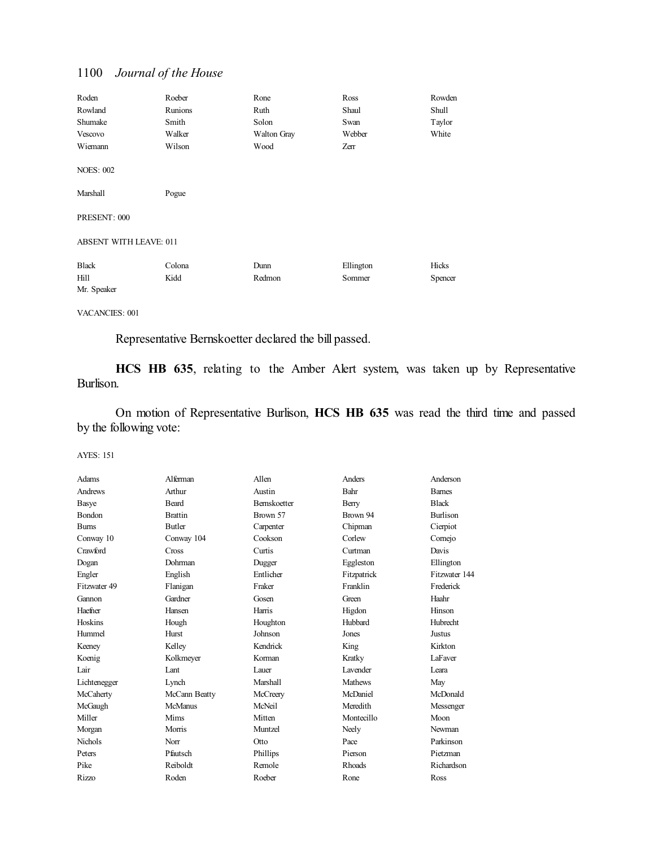| Roden                         | Roeber  | Rone        | Ross      | Rowden  |
|-------------------------------|---------|-------------|-----------|---------|
| Rowland                       | Runions | Ruth        | Shaul     | Shull   |
| Shumake                       | Smith   | Solon       | Swan      | Taylor  |
| Vescovo                       | Walker  | Walton Gray | Webber    | White   |
| Wiemann                       | Wilson  | Wood        | Zerr      |         |
| <b>NOES: 002</b>              |         |             |           |         |
| Marshall                      | Pogue   |             |           |         |
| PRESENT: 000                  |         |             |           |         |
| <b>ABSENT WITH LEAVE: 011</b> |         |             |           |         |
| <b>Black</b>                  | Colona  | Dunn        | Ellington | Hicks   |
| Hill                          | Kidd    | Redmon      | Sommer    | Spencer |
| Mr. Speaker                   |         |             |           |         |

VACANCIES: 001

Representative Bernskoetter declared the bill passed.

**HCS HB 635**, relating to the Amber Alert system, was taken up by Representative Burlison.

On motion of Representative Burlison, **HCS HB 635** was read the third time and passed by the following vote:

| Adams          | Alferman       | Allen        | Anders         | Anderson        |
|----------------|----------------|--------------|----------------|-----------------|
| Andrews        | Arthur         | Austin       | Bahr           | <b>Bames</b>    |
| Basye          | Beard          | Bernskoetter | Berry          | <b>Black</b>    |
| <b>Bondon</b>  | <b>Brattin</b> | Brown 57     | Brown 94       | <b>Burlison</b> |
| <b>Bums</b>    | <b>Butler</b>  | Carpenter    | Chipman        | Cierpiot        |
| Conway 10      | Conway 104     | Cookson      | Corlew         | Comejo          |
| Crawford       | Cross          | Curtis       | Curtman        | Davis           |
| Dogan          | Dohrman        | Dugger       | Eggleston      | Ellington       |
| Engler         | English        | Entlicher    | Fitzpatrick    | Fitzwater 144   |
| Fitzwater 49   | Flanigan       | Fraker       | Franklin       | Frederick       |
| Gannon         | Gardner        | Gosen        | Green          | Haahr           |
| Haefner        | Hansen         | Harris       | Higdon         | Hinson          |
| Hoskins        | Hough          | Houghton     | Hubbard        | Hubrecht        |
| Hummel         | Hurst          | Johnson      | Jones          | <b>Justus</b>   |
| Keeney         | Kelley         | Kendrick     | King           | Kirkton         |
| Koenig         | Kolkmeyer      | Korman       | Kratky         | LaFaver         |
| Lair           | Lant           | Lauer        | Lavender       | Leara           |
| Lichtenegger   | Lynch          | Marshall     | <b>Mathews</b> | May             |
| McCaherty      | McCann Beatty  | McCreery     | McDaniel       | McDonald        |
| McGaugh        | <b>McManus</b> | McNeil       | Meredith       | Messenger       |
| Miller         | Mims           | Mitten       | Montecillo     | Moon            |
| Morgan         | Morris         | Muntzel      | Neely          | Newman          |
| <b>Nichols</b> | Norr           | Otto         | Pace           | Parkinson       |
| Peters         | Pfautsch       | Phillips     | Pierson        | Pietzman        |
| Pike           | Reiboldt       | Remole       | <b>Rhoads</b>  | Richardson      |
| <b>Rizzo</b>   | Roden          | Roeber       | Rone           | Ross            |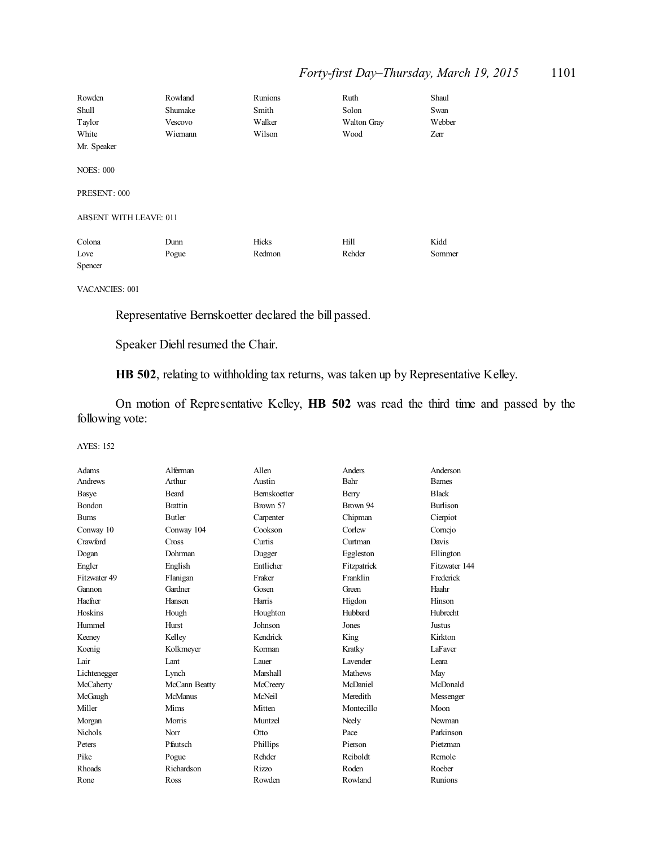## *Forty-first Day–Thursday, March 19, 2015* 1101

| Rowden                        | Rowland | Runions | Ruth        | Shaul  |
|-------------------------------|---------|---------|-------------|--------|
| Shull                         | Shumake | Smith   | Solon       | Swan   |
| Taylor                        | Vescovo | Walker  | Walton Gray | Webber |
| White                         | Wiemann | Wilson  | Wood        | Zerr   |
| Mr. Speaker                   |         |         |             |        |
|                               |         |         |             |        |
| <b>NOES: 000</b>              |         |         |             |        |
|                               |         |         |             |        |
| PRESENT: 000                  |         |         |             |        |
|                               |         |         |             |        |
| <b>ABSENT WITH LEAVE: 011</b> |         |         |             |        |
|                               |         |         |             |        |
| Colona                        | Dunn    | Hicks   | Hill        | Kidd   |
| Love                          | Pogue   | Redmon  | Rehder      | Sommer |
| Spencer                       |         |         |             |        |

VACANCIES: 001

Representative Bernskoetter declared the bill passed.

Speaker Diehl resumed the Chair.

**HB 502**, relating to withholding tax returns, was taken up by Representative Kelley.

On motion of Representative Kelley, **HB 502** was read the third time and passed by the following vote:

| Adams          | Alferman       | Allen               | Anders          | Anderson        |
|----------------|----------------|---------------------|-----------------|-----------------|
| Andrews        | Arthur         | Austin              | Bahr            | <b>Barnes</b>   |
| Basye          | <b>Beard</b>   | <b>Bernskoetter</b> | Berry           | <b>Black</b>    |
| Bondon         | <b>Brattin</b> | Brown 57            | Brown 94        | <b>Burlison</b> |
| <b>Burns</b>   | <b>Butler</b>  | Carpenter           | Chipman         | Cierpiot        |
| Conway 10      | Conway 104     | Cookson             | Corlew          | Comejo          |
| Crawford       | Cross          | Curtis              | Curtman         | Davis           |
| Dogan          | Dohrman        | Dugger              | Eggleston       | Ellington       |
| Engler         | English        | Entlicher           | Fitzpatrick     | Fitzwater 144   |
| Fitzwater 49   | Flanigan       | Fraker              | Franklin        | Frederick       |
| Gannon         | Gardner        | Gosen               | Green           | Haahr           |
| Haefner        | Hansen         | Harris              | Higdon          | Hinson          |
| Hoskins        | Hough          | Houghton            | Hubbard         | Hubrecht        |
| Hummel         | <b>Hurst</b>   | Johnson             | Jones           | <b>Justus</b>   |
| Keeney         | Kelley         | Kendrick            | King            | Kirkton         |
| Koenig         | Kolkmeyer      | Korman              | Kratky          | LaFaver         |
| Lair           | Lant           | Lauer               | <b>Lavender</b> | I eara          |
| Lichtenegger   | Lynch          | Marshall            | <b>Mathews</b>  | May             |
| McCaherty      | McCann Beatty  | McCreery            | McDaniel        | McDonald        |
| McGaugh        | McManus        | McNeil              | Meredith        | Messenger       |
| Miller         | Mims           | Mitten              | Montecillo      | Moon            |
| Morgan         | Morris         | Muntzel             | Neely           | Newman          |
| <b>Nichols</b> | Norr           | <b>Otto</b>         | Pace            | Parkinson       |
| Peters         | Pfautsch       | Phillips            | Pierson         | Pietzman        |
| Pike           | Pogue          | Rehder              | Reiboldt        | Remole          |
| <b>Rhoads</b>  | Richardson     | <b>Rizzo</b>        | Roden           | Roeber          |
| Rone           | Ross           | Rowden              | Rowland         | Runions         |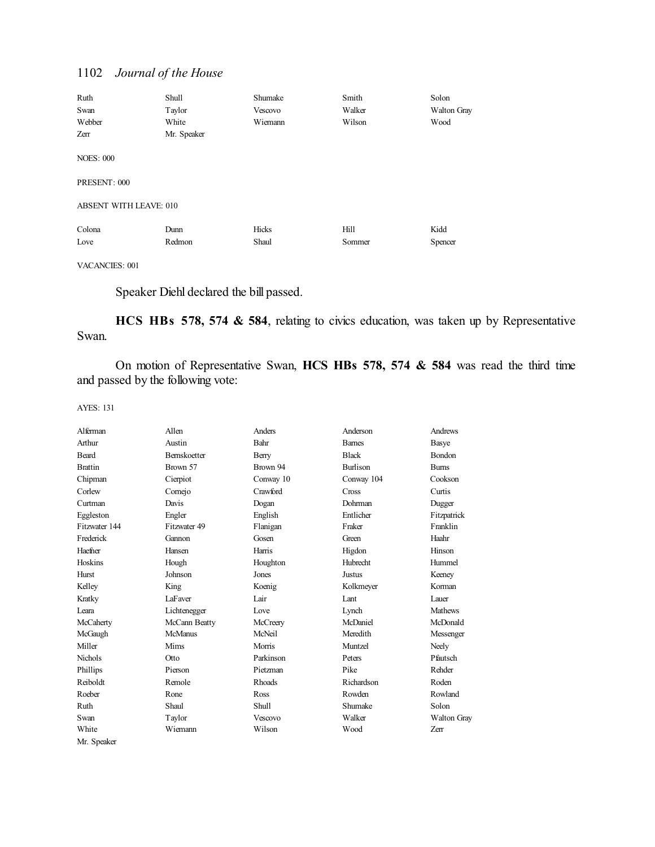| Ruth                             | Shull       | Shumake | Smith  | Solon       |
|----------------------------------|-------------|---------|--------|-------------|
| Swan                             | Taylor      | Vescovo | Walker | Walton Gray |
| Webber                           | White       | Wiemann | Wilson | Wood        |
| Zerr                             | Mr. Speaker |         |        |             |
| <b>NOES: 000</b><br>PRESENT: 000 |             |         |        |             |
|                                  |             |         |        |             |
| ABSENT WITH LEAVE: 010           |             |         |        |             |
| Colona                           | Dunn        | Hicks   | Hill   | Kidd        |
| Love                             | Redmon      | Shaul   | Sommer | Spencer     |

VACANCIES: 001

Speaker Diehl declared the bill passed.

**HCS HBs 578, 574 & 584**, relating to civics education, was taken up by Representative Swan.

On motion of Representative Swan, **HCS HBs 578, 574 & 584** was read the third time and passed by the following vote:

| Alferman       | Allen               | Anders         | Anderson        | Andrews            |
|----------------|---------------------|----------------|-----------------|--------------------|
| Arthur         | Austin              | Bahr           | <b>Bames</b>    | <b>Basye</b>       |
| Beard          | <b>Bernskoetter</b> | Berry          | <b>Black</b>    | <b>Bondon</b>      |
| <b>Brattin</b> | Brown 57            | Brown 94       | <b>Burlison</b> | <b>Burns</b>       |
| Chipman        | Cierpiot            | Conway 10      | Conway 104      | Cookson            |
| Corlew         | Comejo              | Crawford       | Cross           | Curtis             |
| Curtman        | Davis               | Dogan          | Dohrman         | Dugger             |
| Eggleston      | Engler              | English        | Entlicher       | Fitzpatrick        |
| Fitzwater 144  | Fitzwater 49        | Flanigan       | Fraker          | Franklin           |
| Frederick      | Gannon              | Gosen          | Green           | Haahr              |
| Haefner        | Hansen              | Harris         | Higdon          | Hinson             |
| Hoskins        | Hough               | Houghton       | <b>Hubrecht</b> | Hummel             |
| Hurst          | Johnson             | Jones          | <b>Justus</b>   | Keeney             |
| Kelley         | King                | Koenig         | Kolkmeyer       | Korman             |
| Kratky         | LaFaver             | Lair           | Lant            | Lauer              |
| Leara          | Lichtenegger        | Love           | Lynch           | <b>Mathews</b>     |
| McCaherty      | McCann Beatty       | McCreery       | McDaniel        | McDonald           |
| McGaugh        | <b>McManus</b>      | McNeil         | Meredith        | Messenger          |
| Miller         | Mims                | Morris         | Muntzel         | Neely              |
| <b>Nichols</b> | Otto                | Parkinson      | Peters          | Pfautsch           |
| Phillips       | Pierson             | Pietzman       | Pike            | Rehder             |
| Reiboldt       | Remole              | Rhoads         | Richardson      | Roden              |
| Roeber         | Rone                | Ross           | Rowden          | Rowland            |
| Ruth           | Shaul               | <b>Shull</b>   | Shumake         | Solon              |
| Swan           | Taylor              | <b>Vescovo</b> | Walker          | <b>Walton Gray</b> |
| White          | Wiemann             | Wilson         | Wood            | Zerr               |
| Mr. Speaker    |                     |                |                 |                    |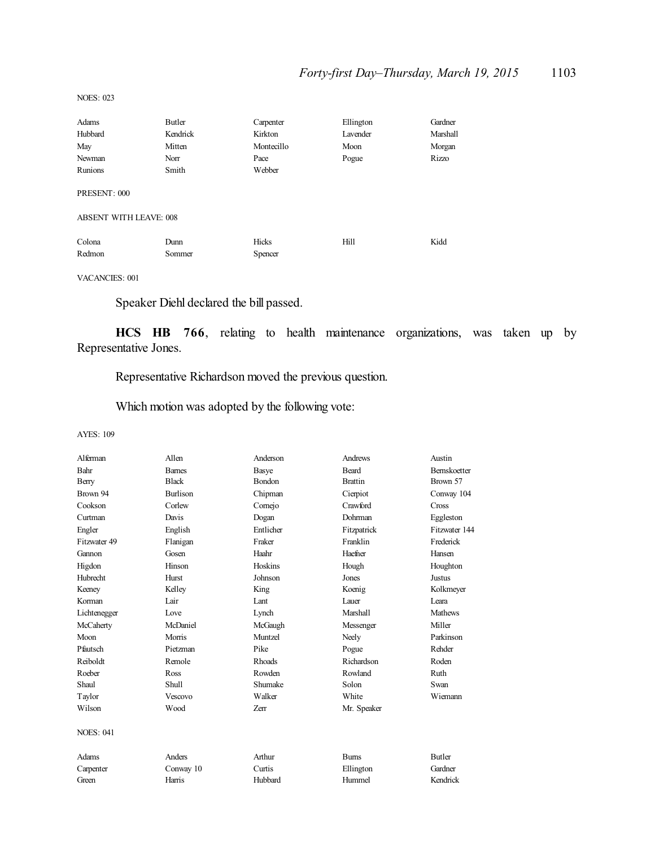NOES: 023

| Adams                  | Butler   | Carpenter  | Ellington | Gardner      |
|------------------------|----------|------------|-----------|--------------|
| Hubbard                | Kendrick | Kirkton    | Lavender  | Marshall     |
| May                    | Mitten   | Montecillo | Moon      | Morgan       |
| Newman                 | Norr     | Pace       | Pogue     | <b>Rizzo</b> |
| Runions                | Smith    | Webber     |           |              |
| PRESENT: 000           |          |            |           |              |
| ABSENT WITH LEAVE: 008 |          |            |           |              |
| Colona                 | Dunn     | Hicks      | Hill      | Kidd         |
| Redmon                 | Sommer   | Spencer    |           |              |
|                        |          |            |           |              |

VACANCIES: 001

Speaker Diehl declared the bill passed.

**HCS HB 766**, relating to health maintenance organizations, was taken up by Representative Jones.

Representative Richardson moved the previous question.

Which motion was adopted by the following vote:

| Alferman         | Allen           | Anderson    | Andrews        | Austin              |
|------------------|-----------------|-------------|----------------|---------------------|
| Bahr             | <b>Barnes</b>   | Basye       | Beard          | <b>Bernskoetter</b> |
| Berry            | <b>Black</b>    | Bondon      | <b>Brattin</b> | Brown 57            |
| Brown 94         | <b>Burlison</b> | Chipman     | Cierpiot       | Conway 104          |
| Cookson          | Corlew          | Cornejo     | Crawford       | Cross               |
| Curtman          | Davis           | Dogan       | Dohrman        | Eggleston           |
| Engler           | English         | Entlicher   | Fitzpatrick    | Fitzwater 144       |
| Fitzwater 49     | Flanigan        | Fraker      | Franklin       | Frederick           |
| Gannon           | Gosen           | Haahr       | Haefner        | Hansen              |
| Higdon           | Hinson          | Hoskins     | Hough          | Houghton            |
| <b>Hubrecht</b>  | Hurst           | Johnson     | Jones          | Justus              |
| Keeney           | Kelley          | King        | Koenig         | Kolkmeyer           |
| Korman           | Lair            | Lant        | Lauer          | I eara              |
| Lichtenegger     | Love            | Lynch       | Marshall       | <b>Mathews</b>      |
| McCaherty        | McDaniel        | McGaugh     | Messenger      | Miller              |
| Moon             | Morris          | Muntzel     | Neely          | Parkinson           |
| Pfautsch         | Pietzman        | Pike        | Pogue          | Rehder              |
| Reiboldt         | Remole          | Rhoads      | Richardson     | Roden               |
| Roeber           | Ross            | Rowden      | Rowland        | Ruth                |
| Shaul            | Shull           | Shumake     | Solon          | Swan                |
| Taylor           | Vescovo         | Walker      | White          | Wiemann             |
| Wilson           | Wood            | <b>Zerr</b> | Mr. Speaker    |                     |
| <b>NOES: 041</b> |                 |             |                |                     |
| Adams            | Anders          | Arthur      | <b>Burns</b>   | <b>Butler</b>       |
| Carpenter        | Conway 10       | Curtis      | Ellington      | Gardner             |
| Green            | Harris          | Hubbard     | Hummel         | Kendrick            |
|                  |                 |             |                |                     |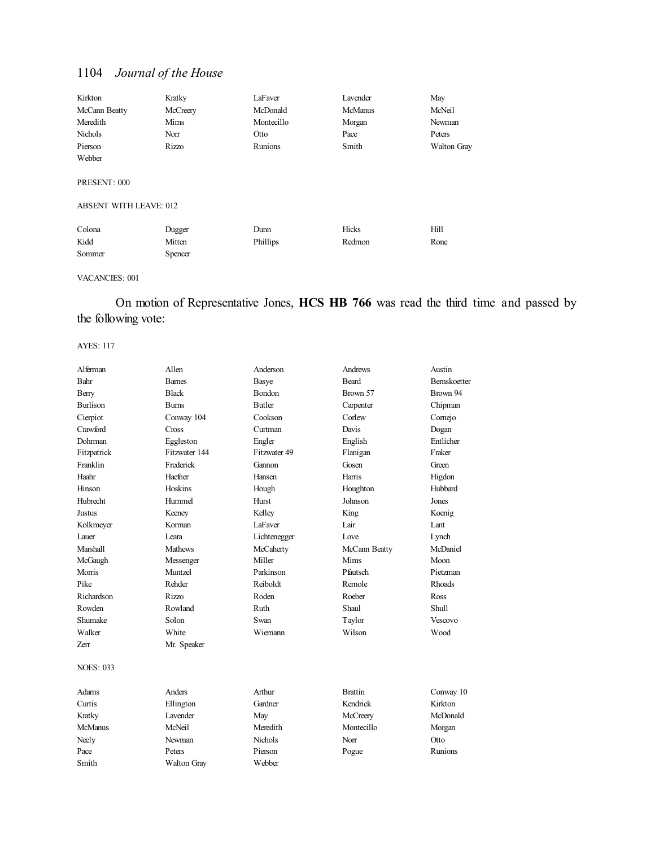| Kirkton                       | Kratky         | LaFaver    | Lavender       | May         |
|-------------------------------|----------------|------------|----------------|-------------|
| McCann Beatty                 | McCreery       | McDonald   | <b>McManus</b> | McNeil      |
| Meredith                      | Mims           | Montecillo | Morgan         | Newman      |
| Nichols                       | Norr           | Otto       | Pace           | Peters      |
| Pierson                       | Rizzo          | Runions    | Smith          | Walton Gray |
| Webber                        |                |            |                |             |
|                               |                |            |                |             |
| PRESENT: 000                  |                |            |                |             |
|                               |                |            |                |             |
| <b>ABSENT WITH LEAVE: 012</b> |                |            |                |             |
|                               |                |            |                |             |
| Colona                        | Dugger         | Dunn       | Hicks          | Hill        |
| Kidd                          | Mitten         | Phillips   | Redmon         | Rone        |
| Sommer                        | <b>Spencer</b> |            |                |             |

#### VACANCIES: 001

## On motion of Representative Jones, **HCS HB 766** was read the third time and passed by the following vote:

| Alferman         | Allen         | Anderson       | Andrews        | Austin              |
|------------------|---------------|----------------|----------------|---------------------|
| Bahr             | <b>Barnes</b> | <b>Basye</b>   | Beard          | <b>Bernskoetter</b> |
| Berry            | <b>Black</b>  | Bondon         | Brown 57       | Brown 94            |
| <b>Burlison</b>  | <b>Burns</b>  | <b>Butler</b>  | Carpenter      | Chipman             |
| Cierpiot         | Conway 104    | Cookson        | Corlew         | Comejo              |
| Crawford         | Cross         | Curtman        | Davis          | Dogan               |
| Dohrman          | Eggleston     | Engler         | English        | Entlicher           |
| Fitzpatrick      | Fitzwater 144 | Fitzwater 49   | Flanigan       | Fraker              |
| Franklin         | Frederick     | Gannon         | Gosen          | Green               |
| Haahr            | Haefner       | Hansen         | Harris         | Higdon              |
| Hinson           | Hoskins       | Hough          | Houghton       | Hubbard             |
| <b>Hubrecht</b>  | Hummel        | Hurst          | Johnson        | Jones               |
| Justus           | Keeney        | Kelley         | King           | Koenig              |
| Kolkmeyer        | Korman        | LaFaver        | Lair           | Lant                |
| Lauer            | Leara         | Lichtenegger   | Love           | Lynch               |
| Marshall         | Mathews       | McCaherty      | McCann Beatty  | McDaniel            |
| McGaugh          | Messenger     | Miller         | Mims           | Moon                |
| Morris           | Muntzel       | Parkinson      | Pfautsch       | Pietzman            |
| Pike             | Rehder        | Reiboldt       | Remole         | <b>Rhoads</b>       |
| Richardson       | Rizzo         | Roden          | Roeber         | Ross                |
| Rowden           | Rowland       | Ruth           | Shaul          | Shull               |
| Shumake          | Solon         | Swan           | Taylor         | Vescovo             |
| Walker           | White         | Wiemann        | Wilson         | Wood                |
| Zerr             | Mr. Speaker   |                |                |                     |
| <b>NOES: 033</b> |               |                |                |                     |
| Adams            | Anders        | Arthur         | <b>Brattin</b> | Conway 10           |
| Curtis           | Ellington     | Gardner        | Kendrick       | Kirkton             |
| Kratky           | Lavender      | May            | McCreery       | McDonald            |
| <b>McManus</b>   | McNeil        | Meredith       | Montecillo     | Morgan              |
| Neely            | Newman        | <b>Nichols</b> | Norr           | Otto                |
| Pace             | Peters        | Pierson        | Pogue          | Runions             |
| Smith            | Walton Gray   | Webber         |                |                     |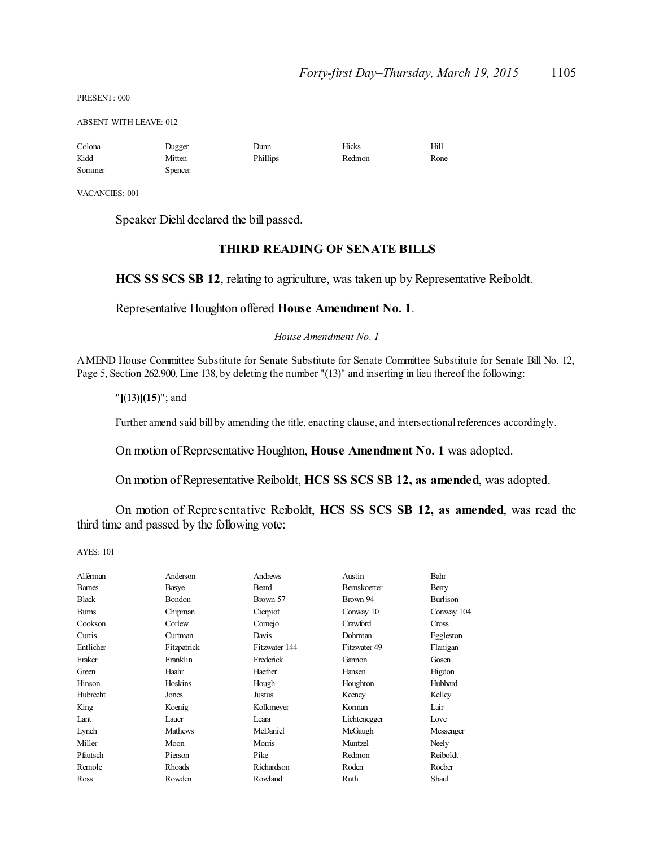PRESENT: 000

ABSENT WITH LEAVE: 012

| Colona | Dugger  | Dunn     | Hicks  | Hill |
|--------|---------|----------|--------|------|
| Kidd   | Mitten  | Phillips | Redmon | Rone |
| Sommer | Spencer |          |        |      |

VACANCIES: 001

Speaker Diehl declared the bill passed.

### **THIRD READING OF SENATE BILLS**

**HCS SS SCS SB 12**, relating to agriculture, was taken up by Representative Reiboldt.

Representative Houghton offered **House Amendment No. 1**.

*House Amendment No. 1*

AMEND House Committee Substitute for Senate Substitute for Senate Committee Substitute for Senate Bill No. 12, Page 5, Section 262.900, Line 138, by deleting the number "(13)" and inserting in lieu thereof the following:

"**[**(13)**](15)**"; and

Further amend said bill by amending the title, enacting clause, and intersectional references accordingly.

On motion of Representative Houghton, **House Amendment No. 1** was adopted.

On motion of Representative Reiboldt, **HCS SS SCS SB 12, as amended**, was adopted.

On motion of Representative Reiboldt, **HCS SS SCS SB 12, as amended**, was read the third time and passed by the following vote:

| Alferman      | Anderson       | Andrews       | Austin       | Bahr            |
|---------------|----------------|---------------|--------------|-----------------|
| <b>Barnes</b> | Basye          | Beard         | Bernskoetter | Berry           |
| <b>Black</b>  | Bondon         | Brown 57      | Brown 94     | <b>Burlison</b> |
| <b>Burns</b>  | Chipman        | Cierpiot      | Conway 10    | Conway 104      |
| Cookson       | Corlew         | Comejo        | Crawford     | Cross           |
| Curtis        | Curtman        | Davis         | Dohrman      | Eggleston       |
| Entlicher     | Fitzpatrick    | Fitzwater 144 | Fitzwater 49 | Flanigan        |
| Fraker        | Franklin       | Frederick     | Gannon       | Gosen           |
| Green         | Haahr          | Haefner       | Hansen       | Higdon          |
| Hinson        | Hoskins        | Hough         | Houghton     | Hubbard         |
| Hubrecht      | Jones          | Justus        | Keeney       | Kelley          |
| King          | Koenig         | Kolkmeyer     | Korman       | Lair            |
| Lant          | Lauer          | Leara         | Lichtenegger | Love            |
| Lynch         | <b>Mathews</b> | McDaniel      | McGaugh      | Messenger       |
| Miller        | Moon           | Morris        | Muntzel      | Neely           |
| Pfautsch      | Pierson        | Pike          | Redmon       | Reiboldt        |
| Remole        | Rhoads         | Richardson    | Roden        | Roeber          |
| Ross          | Rowden         | Rowland       | Ruth         | Shaul           |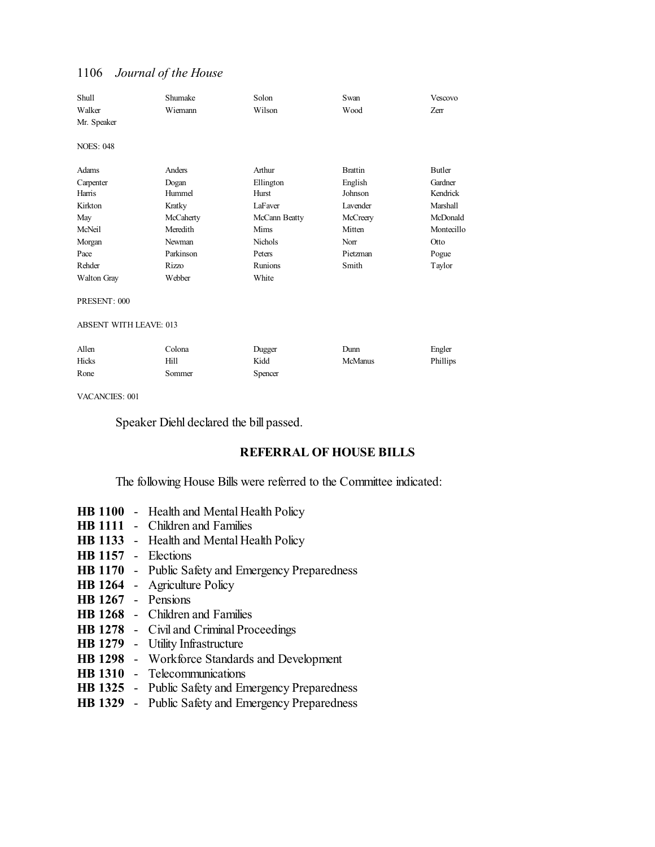| Shull                         | Shumake   | Solon          | Swan           | Vescovo    |
|-------------------------------|-----------|----------------|----------------|------------|
| Walker                        | Wiemann   | Wilson         | Wood           | Zerr       |
| Mr. Speaker                   |           |                |                |            |
|                               |           |                |                |            |
| <b>NOES: 048</b>              |           |                |                |            |
|                               |           |                |                |            |
| Adams                         | Anders    | Arthur         | <b>Brattin</b> | Butler     |
| Carpenter                     | Dogan     | Ellington      | English        | Gardner    |
| Harris                        | Hummel    | Hurst          | Johnson        | Kendrick   |
| Kirkton                       | Kratky    | LaFaver        | Lavender       | Marshall   |
| May                           | McCaherty | McCann Beatty  | McCreery       | McDonald   |
| McNeil                        | Meredith  | Mims           | Mitten         | Montecillo |
| Morgan                        | Newman    | <b>Nichols</b> | Norr           | Otto       |
| Pace                          | Parkinson | Peters         | Pietzman       | Pogue      |
| Rehder                        | Rizzo     | Runions        | Smith          | Taylor     |
| Walton Gray                   | Webber    | White          |                |            |
|                               |           |                |                |            |
| PRESENT: 000                  |           |                |                |            |
|                               |           |                |                |            |
| <b>ABSENT WITH LEAVE: 013</b> |           |                |                |            |
|                               |           |                |                |            |

| Allen | Colona | Dugger  | Dunn           | Engler   |
|-------|--------|---------|----------------|----------|
| Hicks | Hill   | Kidd    | <b>McManus</b> | Phillips |
| Rone  | Sommer | Spencer |                |          |

VACANCIES: 001

Speaker Diehl declared the bill passed.

### **REFERRAL OF HOUSE BILLS**

The following House Bills were referred to the Committee indicated:

- **HB 1100** Health and Mental Health Policy
- **HB 1111** Children and Families
- **HB 1133** Health and Mental Health Policy
- **HB 1157** Elections
- **HB 1170** Public Safety and Emergency Preparedness
- **HB 1264** Agriculture Policy
- **HB 1267** Pensions
- **HB 1268** Children and Families
- **HB 1278** Civil and Criminal Proceedings
- **HB 1279** Utility Infrastructure
- **HB 1298** Workforce Standards and Development
- **HB 1310** Telecommunications
- **HB 1325** Public Safety and Emergency Preparedness
- **HB 1329** Public Safety and Emergency Preparedness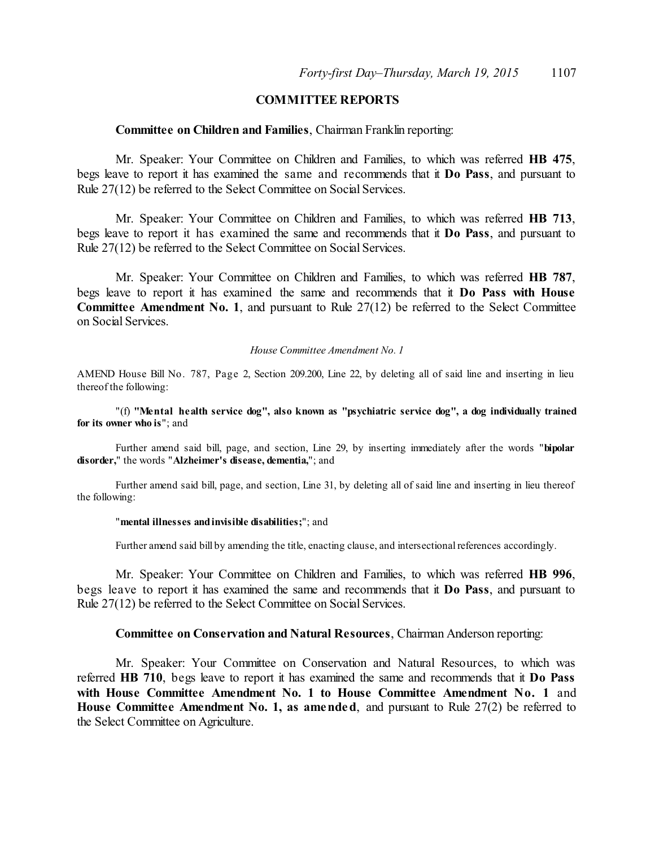## **COMMITTEE REPORTS**

#### **Committee on Children and Families**, Chairman Franklin reporting:

Mr. Speaker: Your Committee on Children and Families, to which was referred **HB 475**, begs leave to report it has examined the same and recommends that it **Do Pass**, and pursuant to Rule 27(12) be referred to the Select Committee on Social Services.

Mr. Speaker: Your Committee on Children and Families, to which was referred **HB 713**, begs leave to report it has examined the same and recommends that it **Do Pass**, and pursuant to Rule 27(12) be referred to the Select Committee on Social Services.

Mr. Speaker: Your Committee on Children and Families, to which was referred **HB 787**, begs leave to report it has examined the same and recommends that it **Do Pass with House Committee Amendment No. 1**, and pursuant to Rule 27(12) be referred to the Select Committee on Social Services.

#### *House Committee Amendment No. 1*

AMEND House Bill No. 787, Page 2, Section 209.200, Line 22, by deleting all of said line and inserting in lieu thereof the following:

"(f) **"Mental health service dog", also known as "psychiatric service dog", a dog individually trained for its owner who is**"; and

Further amend said bill, page, and section, Line 29, by inserting immediately after the words "**bipolar disorder,**" the words "**Alzheimer's disease, dementia,**"; and

Further amend said bill, page, and section, Line 31, by deleting all of said line and inserting in lieu thereof the following:

#### "**mental illnesses andinvisible disabilities;**"; and

Further amend said bill by amending the title, enacting clause, and intersectional references accordingly.

Mr. Speaker: Your Committee on Children and Families, to which was referred **HB 996**, begs leave to report it has examined the same and recommends that it **Do Pass**, and pursuant to Rule 27(12) be referred to the Select Committee on Social Services.

#### **Committee on Conservation and Natural Resources**, Chairman Anderson reporting:

Mr. Speaker: Your Committee on Conservation and Natural Resources, to which was referred **HB 710**, begs leave to report it has examined the same and recommends that it **Do Pass with House Committee Amendment No. 1 to House Committee Amendment No. 1** and **House Committee Amendment No. 1, as amended**, and pursuant to Rule 27(2) be referred to the Select Committee on Agriculture.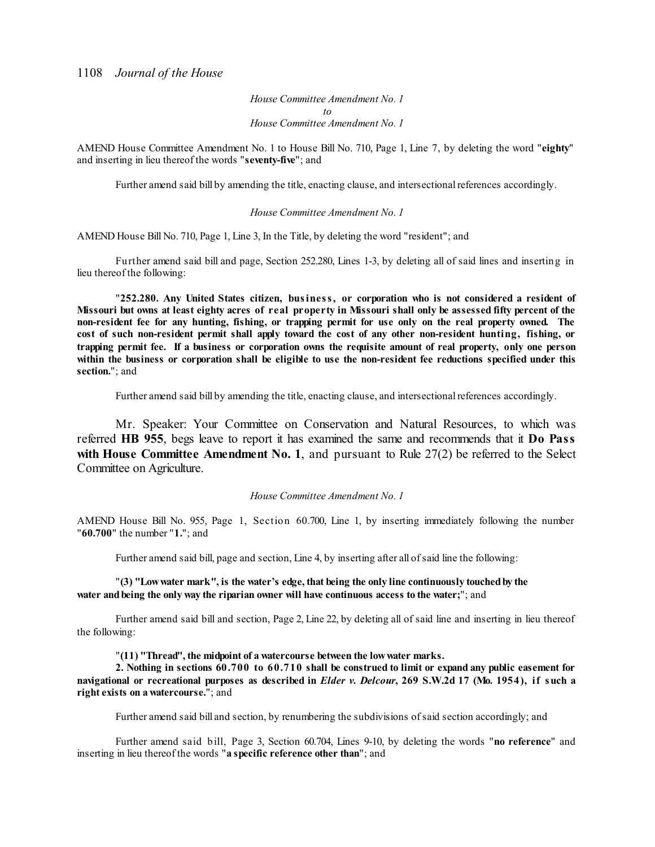*House Committee Amendment No. 1 to House Committee Amendment No. 1*

AMEND House Committee Amendment No. 1 to House Bill No. 710, Page 1, Line 7, by deleting the word "**eighty**" and inserting in lieu thereof the words "**seventy-five**"; and

Further amend said bill by amending the title, enacting clause, and intersectional references accordingly.

#### *House Committee Amendment No. 1*

AMEND House Bill No. 710, Page 1, Line 3, In the Title, by deleting the word "resident"; and

Further amend said bill and page, Section 252.280, Lines 1-3, by deleting all of said lines and inserting in lieu thereof the following:

"**252.280. Any United States citizen, business, or corporation who is not considered a resident of** Missouri but owns at least eighty acres of real property in Missouri shall only be assessed fifty percent of the non-resident fee for any hunting, fishing, or trapping permit for use only on the real property owned. The cost of such non-resident permit shall apply toward the cost of any other non-resident hunting, fishing, or trapping permit fee. If a business or corporation owns the requisite amount of real property, only one person within the business or corporation shall be eligible to use the non-resident fee reductions specified under this **section.**"; and

Further amend said bill by amending the title, enacting clause, and intersectional references accordingly.

Mr. Speaker: Your Committee on Conservation and Natural Resources, to which was referred **HB 955**, begs leave to report it has examined the same and recommends that it **Do Pass with House Committee Amendment No. 1**, and pursuant to Rule 27(2) be referred to the Select Committee on Agriculture.

#### *House Committee Amendment No. 1*

AMEND House Bill No. 955, Page 1, Section 60.700, Line 1, by inserting immediately following the number "**60.700**" the number "**1.**"; and

Further amend said bill, page and section, Line 4, by inserting after all ofsaid line the following:

"**(3) "Lowwater mark", is the water's edge, that being the only line continuously touchedby the water andbeing the only way the riparian owner will have continuous access to the water;**"; and

Further amend said bill and section, Page 2, Line 22, by deleting all of said line and inserting in lieu thereof the following:

"**(11) "Thread", the midpoint of a watercourse between the lowwater marks.**

**2. Nothing in sections 60.700 to 60.710 shall be construed to limit or expand any public easement for** navigational or recreational purposes as described in *Elder v. Delcour*, 269 S.W.2d 17 (Mo. 1954), if such a **right exists on a watercourse.**"; and

Further amend said bill and section, by renumbering the subdivisions ofsaid section accordingly; and

Further amend said bill, Page 3, Section 60.704, Lines 9-10, by deleting the words "**no reference**" and inserting in lieu thereof the words "**a specific reference other than**"; and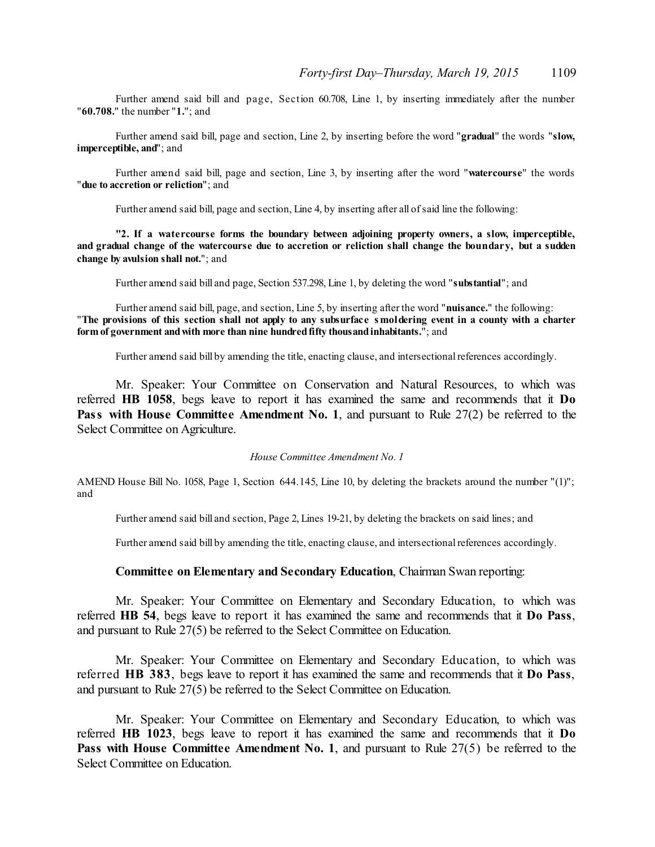Further amend said bill and page, Section 60.708, Line 1, by inserting immediately after the number "**60.708.**" the number "**1.**"; and

Further amend said bill, page and section, Line 2, by inserting before the word "**gradual**" the words "**slow, imperceptible, and**"; and

Further amend said bill, page and section, Line 3, by inserting after the word "**watercourse**" the words "**due to accretion or reliction**"; and

Further amend said bill, page and section, Line 4, by inserting after all ofsaid line the following:

**"2. If a watercourse forms the boundary between adjoining property owners, a slow, imperceptible,** and gradual change of the watercourse due to accretion or reliction shall change the boundary, but a sudden **change by avulsion shall not.**"; and

Further amend said bill and page, Section 537.298, Line 1, by deleting the word "**substantial**"; and

Further amend said bill, page, and section, Line 5, by inserting after the word "**nuisance.**" the following: "The provisions of this section shall not apply to any subsurface smoldering event in a county with a charter **form of government andwith more than nine hundredfifty thousandinhabitants.**"; and

Further amend said bill by amending the title, enacting clause, and intersectional references accordingly.

Mr. Speaker: Your Committee on Conservation and Natural Resources, to which was referred **HB 1058**, begs leave to report it has examined the same and recommends that it **Do Pass with House Committee Amendment No. 1**, and pursuant to Rule 27(2) be referred to the Select Committee on Agriculture.

*House Committee Amendment No. 1*

AMEND House Bill No. 1058, Page 1, Section 644.145, Line 10, by deleting the brackets around the number "(1)"; and

Further amend said bill and section, Page 2, Lines 19-21, by deleting the brackets on said lines; and

Further amend said bill by amending the title, enacting clause, and intersectional references accordingly.

#### **Committee on Elementary and Secondary Education**, Chairman Swan reporting:

Mr. Speaker: Your Committee on Elementary and Secondary Education, to which was referred **HB 54**, begs leave to report it has examined the same and recommends that it **Do Pass**, and pursuant to Rule 27(5) be referred to the Select Committee on Education.

Mr. Speaker: Your Committee on Elementary and Secondary Education, to which was referred **HB 383**, begs leave to report it has examined the same and recommends that it **Do Pass**, and pursuant to Rule 27(5) be referred to the Select Committee on Education.

Mr. Speaker: Your Committee on Elementary and Secondary Education, to which was referred **HB 1023**, begs leave to report it has examined the same and recommends that it **Do Pass with House Committee Amendment No. 1**, and pursuant to Rule 27(5) be referred to the Select Committee on Education.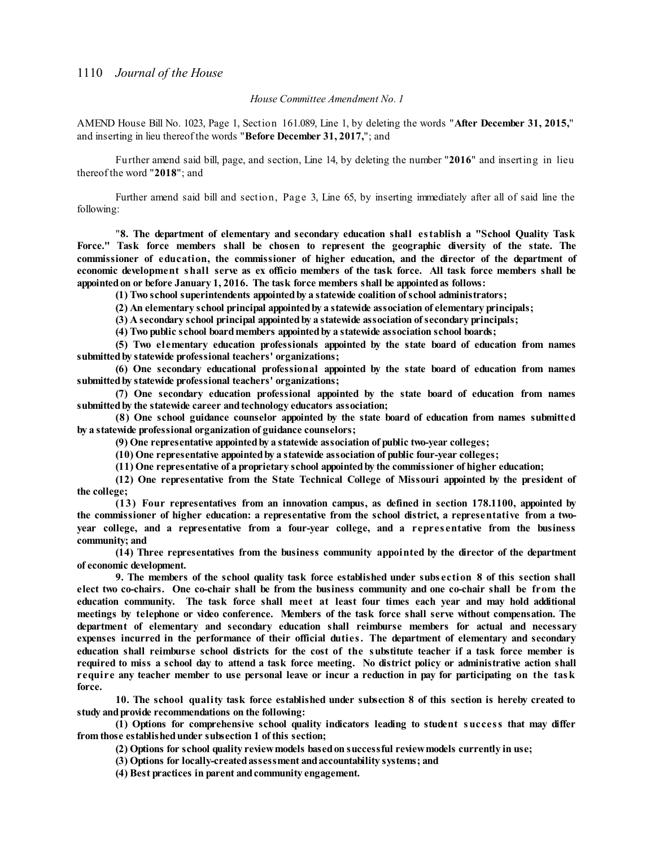#### *House Committee Amendment No. 1*

AMEND House Bill No. 1023, Page 1, Section 161.089, Line 1, by deleting the words "**After December 31, 2015,**" and inserting in lieu thereof the words "**Before December 31, 2017,**"; and

Further amend said bill, page, and section, Line 14, by deleting the number "**2016**" and inserting in lieu thereof the word "**2018**"; and

Further amend said bill and section, Page 3, Line 65, by inserting immediately after all of said line the following:

"**8. The department of elementary and secondary education shall establish a "School Quality Task Force." Task force members shall be chosen to represent the geographic diversity of the state. The commissioner of education, the commissioner of higher education, and the director of the department of** economic development shall serve as ex officio members of the task force. All task force members shall be **appointedon or before January 1, 2016. The task force members shall be appointedas follows:**

**(1) Two school superintendents appointedby a statewide coalition ofschool administrators;**

**(2) An elementary school principal appointedby a statewide association of elementary principals;**

**(3) A secondary school principal appointedby a statewide association ofsecondary principals;**

**(4) Two public school boardmembers appointedby a statewide association school boards;**

**(5) Two elementary education professionals appointed by the state board of education from names submittedby statewide professional teachers' organizations;**

**(6) One secondary educational professional appointed by the state board of education from names submittedby statewide professional teachers' organizations;**

**(7) One secondary education professional appointed by the state board of education from names submittedby the statewide career andtechnology educators association;**

**(8) One school guidance counselor appointed by the state board of education from names submitted by a statewide professional organization of guidance counselors;**

**(9) One representative appointedby a statewide association of public two-year colleges;**

**(10) One representative appointedby a statewide association of public four-year colleges;**

**(11) One representative of a proprietary school appointedby the commissioner of higher education;**

**(12) One representative from the State Technical College of Missouri appointed by the president of the college;**

**(13) Four representatives from an innovation campus, as defined in section 178.1100, appointed by the commissioner of higher education: a representative from the school district, a representative from a twoyear college, and a representative from a four-year college, and a repres entative from the business community; and**

**(14) Three representatives from the business community appointed by the director of the department of economic development.**

9. The members of the school quality task force established under subsection 8 of this section shall elect two co-chairs. One co-chair shall be from the business community and one co-chair shall be from the **education community. The task force shall meet at least four times each year and may hold additional meetings by telephone or video conference. Members of the task force shall serve without compensation. The department of elementary and secondary education shall reimburse members for actual and necessary expenses incurred in the performance of their official duties. The department of elementary and secondary** education shall reimburse school districts for the cost of the substitute teacher if a task force member is required to miss a school day to attend a task force meeting. No district policy or administrative action shall require any teacher member to use personal leave or incur a reduction in pay for participating on the task **force.**

**10. The school quality task force established under subsection 8 of this section is hereby created to study andprovide recommendations on the following:**

**(1) Options for comprehensive school quality indicators leading to student success that may differ from those establishedunder subsection 1 of this section;**

**(2) Options for school quality reviewmodels basedon successful reviewmodels currently in use;**

**(3) Options for locally-createdassessment andaccountability systems; and**

**(4) Best practices in parent andcommunity engagement.**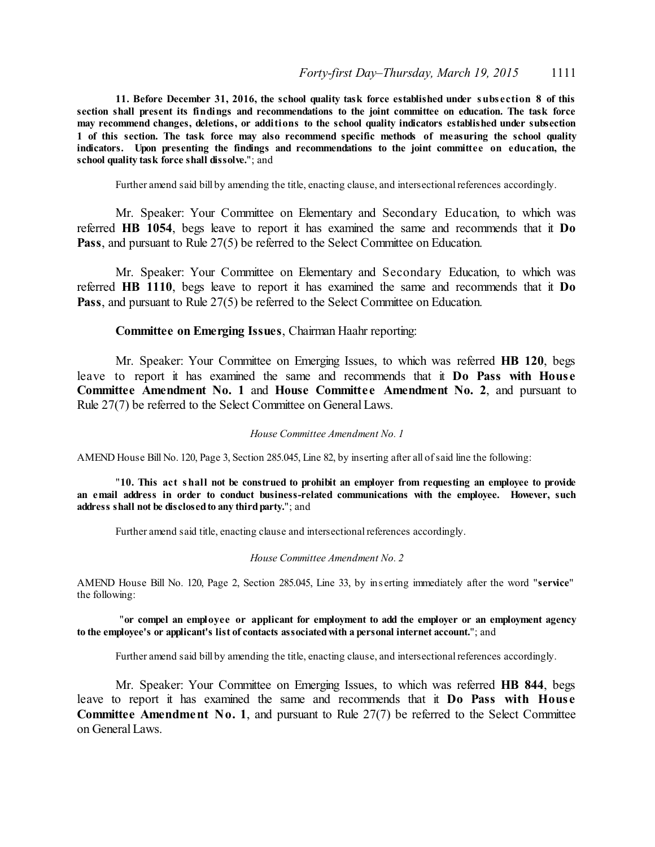**11. Before December 31, 2016, the school quality task force established under subs ection 8 of this section shall present its findings and recommendations to the joint committee on education. The task force may recommend changes, deletions, or additions to the school quality indicators established under subsection 1 of this section. The task force may also recommend specific methods of measuring the school quality indicators. Upon presenting the findings and recommendations to the joint committee on education, the school quality task force shall dissolve.**"; and

Further amend said bill by amending the title, enacting clause, and intersectional references accordingly.

Mr. Speaker: Your Committee on Elementary and Secondary Education, to which was referred **HB 1054**, begs leave to report it has examined the same and recommends that it **Do** Pass, and pursuant to Rule 27(5) be referred to the Select Committee on Education.

Mr. Speaker: Your Committee on Elementary and Secondary Education, to which was referred **HB 1110**, begs leave to report it has examined the same and recommends that it **Do** Pass, and pursuant to Rule 27(5) be referred to the Select Committee on Education.

#### **Committee on Emerging Issues**, Chairman Haahr reporting:

Mr. Speaker: Your Committee on Emerging Issues, to which was referred **HB 120**, begs leave to report it has examined the same and recommends that it **Do Pass with Hous e Committee Amendment No. 1** and **House Committe e Amendment No. 2**, and pursuant to Rule 27(7) be referred to the Select Committee on General Laws.

#### *House Committee Amendment No. 1*

AMEND House Bill No. 120, Page 3, Section 285.045, Line 82, by inserting after all ofsaid line the following:

"**10. This act shall not be construed to prohibit an employer from requesting an employee to provide an email address in order to conduct business-related communications with the employee. However, such address shall not be disclosedto any thirdparty.**"; and

Further amend said title, enacting clause and intersectional references accordingly.

#### *House Committee Amendment No. 2*

AMEND House Bill No. 120, Page 2, Section 285.045, Line 33, by ins erting immediately after the word "**service**" the following:

#### "**or compel an employee or applicant for employment to add the employer or an employment agency to the employee's or applicant's list of contacts associatedwith a personal internet account.**"; and

Further amend said bill by amending the title, enacting clause, and intersectional references accordingly.

Mr. Speaker: Your Committee on Emerging Issues, to which was referred **HB 844**, begs leave to report it has examined the same and recommends that it **Do Pass with House Committee Amendment No. 1**, and pursuant to Rule 27(7) be referred to the Select Committee on General Laws.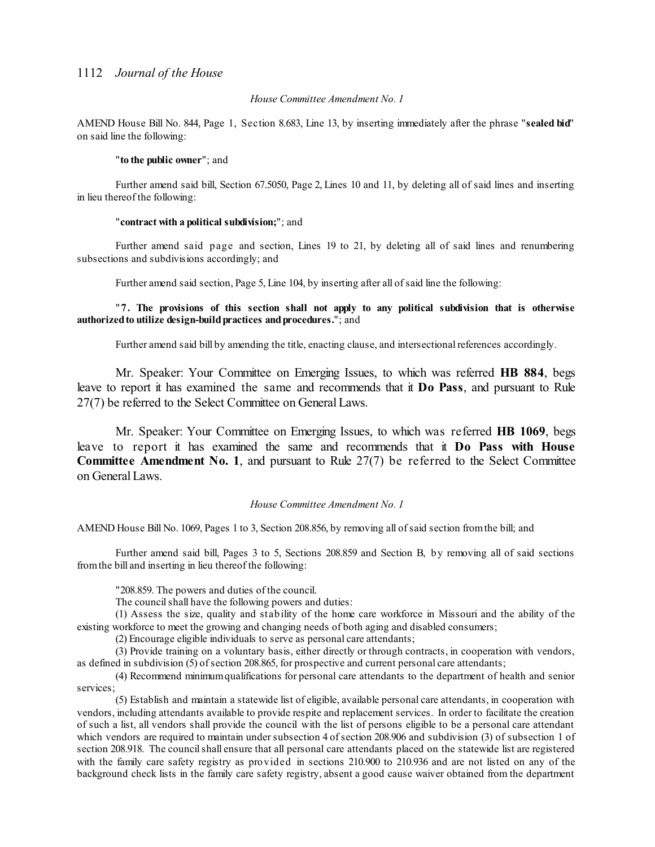#### *House Committee Amendment No. 1*

AMEND House Bill No. 844, Page 1, Section 8.683, Line 13, by inserting immediately after the phrase "**sealed bid**" on said line the following:

#### "**to the public owner**"; and

Further amend said bill, Section 67.5050, Page 2, Lines 10 and 11, by deleting all of said lines and inserting in lieu thereof the following:

#### "**contract with a political subdivision;**"; and

Further amend said page and section, Lines 19 to 21, by deleting all of said lines and renumbering subsections and subdivisions accordingly; and

Further amend said section, Page 5, Line 104, by inserting after all of said line the following:

"**7. The provisions of this section shall not apply to any political subdivision that is otherwise authorizedto utilize design-buildpractices andprocedures.**"; and

Further amend said bill by amending the title, enacting clause, and intersectional references accordingly.

Mr. Speaker: Your Committee on Emerging Issues, to which was referred **HB 884**, begs leave to report it has examined the same and recommends that it **Do Pass**, and pursuant to Rule 27(7) be referred to the Select Committee on General Laws.

Mr. Speaker: Your Committee on Emerging Issues, to which was referred **HB 1069**, begs leave to report it has examined the same and recommends that it **Do Pass with House Committee Amendment No. 1**, and pursuant to Rule 27(7) be referred to the Select Committee on General Laws.

#### *House Committee Amendment No. 1*

AMEND House Bill No. 1069, Pages 1 to 3, Section 208.856, by removing all ofsaid section fromthe bill; and

Further amend said bill, Pages 3 to 5, Sections 208.859 and Section B, by removing all of said sections fromthe bill and inserting in lieu thereof the following:

"208.859. The powers and duties of the council.

The council shall have the following powers and duties:

(1) Assess the size, quality and stability of the home care workforce in Missouri and the ability of the existing workforce to meet the growing and changing needs of both aging and disabled consumers;

(2) Encourage eligible individuals to serve as personal care attendants;

(3) Provide training on a voluntary basis, either directly or through contracts, in cooperation with vendors, as defined in subdivision (5) of section 208.865, for prospective and current personal care attendants;

(4) Recommend minimumqualifications for personal care attendants to the department of health and senior services;

(5) Establish and maintain a statewide list of eligible, available personal care attendants, in cooperation with vendors, including attendants available to provide respite and replacement services. In order to facilitate the creation of such a list, all vendors shall provide the council with the list of persons eligible to be a personal care attendant which vendors are required to maintain under subsection 4 of section 208.906 and subdivision (3) of subsection 1 of section 208.918. The councilshall ensure that all personal care attendants placed on the statewide list are registered with the family care safety registry as provided in sections 210.900 to 210.936 and are not listed on any of the background check lists in the family care safety registry, absent a good cause waiver obtained from the department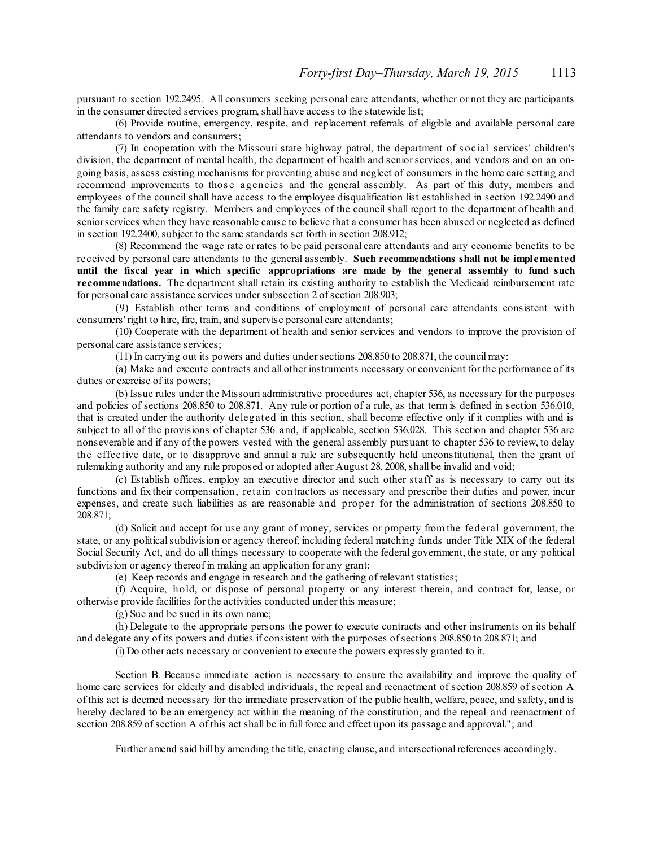pursuant to section 192.2495. All consumers seeking personal care attendants, whether or not they are participants in the consumer directed services program, shall have access to the statewide list;

(6) Provide routine, emergency, respite, and replacement referrals of eligible and available personal care attendants to vendors and consumers;

(7) In cooperation with the Missouri state highway patrol, the department of s ocial services' children's division, the department of mental health, the department of health and senior services, and vendors and on an ongoing basis, assess existing mechanisms for preventing abuse and neglect of consumers in the home care setting and recommend improvements to those agencies and the general assembly. As part of this duty, members and employees of the council shall have access to the employee disqualification list established in section 192.2490 and the family care safety registry. Members and employees of the council shall report to the department of health and seniorservices when they have reasonable cause to believe that a consumer has been abused or neglected as defined in section 192.2400, subject to the same standards set forth in section 208.912;

(8) Recommend the wage rate or rates to be paid personal care attendants and any economic benefits to be received by personal care attendants to the general assembly. **Such recommendations shall not be implemented until the fiscal year in which specific appropriations are made by the general assembly to fund such recommendations.** The department shall retain its existing authority to establish the Medicaid reimbursement rate for personal care assistance services under subsection 2 of section 208.903;

(9) Establish other terms and conditions of employment of personal care attendants consistent with consumers' right to hire, fire, train, and supervise personal care attendants;

(10) Cooperate with the department of health and senior services and vendors to improve the provision of personal care assistance services;

(11) In carrying out its powers and duties undersections 208.850 to 208.871, the council may:

(a) Make and execute contracts and all other instruments necessary or convenient for the performance of its duties or exercise of its powers;

(b) Issue rules under the Missouri administrative procedures act, chapter 536, as necessary for the purposes and policies of sections 208.850 to 208.871. Any rule or portion of a rule, as that term is defined in section 536.010, that is created under the authority delegated in this section, shall become effective only if it complies with and is subject to all of the provisions of chapter 536 and, if applicable, section 536.028. This section and chapter 536 are nonseverable and if any of the powers vested with the general assembly pursuant to chapter 536 to review, to delay the effective date, or to disapprove and annul a rule are subsequently held unconstitutional, then the grant of rulemaking authority and any rule proposed or adopted after August 28, 2008, shall be invalid and void;

(c) Establish offices, employ an executive director and such other staff as is necessary to carry out its functions and fix their compensation, retain contractors as necessary and prescribe their duties and power, incur expenses, and create such liabilities as are reasonable and proper for the administration of sections 208.850 to 208.871;

(d) Solicit and accept for use any grant of money, services or property from the federal government, the state, or any political subdivision or agency thereof, including federal matching funds under Title XIX of the federal Social Security Act, and do all things necessary to cooperate with the federal government, the state, or any political subdivision or agency thereof in making an application for any grant;

(e) Keep records and engage in research and the gathering of relevant statistics;

(f) Acquire, hold, or dispose of personal property or any interest therein, and contract for, lease, or otherwise provide facilities for the activities conducted under this measure;

(g) Sue and be sued in its own name;

(h) Delegate to the appropriate persons the power to execute contracts and other instruments on its behalf and delegate any of its powers and duties if consistent with the purposes ofsections 208.850 to 208.871; and

(i) Do other acts necessary or convenient to execute the powers expressly granted to it.

Section B. Because immediate action is necessary to ensure the availability and improve the quality of home care services for elderly and disabled individuals, the repeal and reenactment of section 208.859 of section A of this act is deemed necessary for the immediate preservation of the public health, welfare, peace, and safety, and is hereby declared to be an emergency act within the meaning of the constitution, and the repeal and reenactment of section 208.859 of section A of this act shall be in full force and effect upon its passage and approval."; and

Further amend said bill by amending the title, enacting clause, and intersectional references accordingly.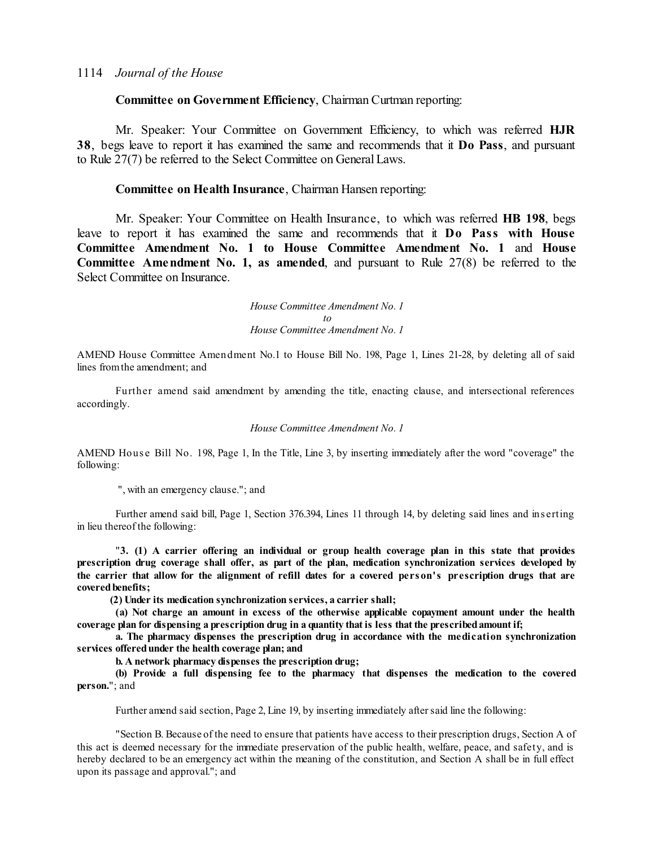#### **Committee on Government Efficiency**, Chairman Curtman reporting:

Mr. Speaker: Your Committee on Government Efficiency, to which was referred **HJR 38**, begs leave to report it has examined the same and recommends that it **Do Pass**, and pursuant to Rule 27(7) be referred to the Select Committee on General Laws.

#### **Committee on Health Insurance**, Chairman Hansen reporting:

Mr. Speaker: Your Committee on Health Insurance, to which was referred **HB 198**, begs leave to report it has examined the same and recommends that it **Do Pass with House Committee Amendment No. 1 to House Committee Amendment No. 1** and **House Committee Amendment No. 1, as amended**, and pursuant to Rule 27(8) be referred to the Select Committee on Insurance.

> *House Committee Amendment No. 1 to House Committee Amendment No. 1*

AMEND House Committee Amendment No.1 to House Bill No. 198, Page 1, Lines 21-28, by deleting all of said lines fromthe amendment; and

Further amend said amendment by amending the title, enacting clause, and intersectional references accordingly.

#### *House Committee Amendment No. 1*

AMEND House Bill No. 198, Page 1, In the Title, Line 3, by inserting immediately after the word "coverage" the following:

", with an emergency clause."; and

Further amend said bill, Page 1, Section 376.394, Lines 11 through 14, by deleting said lines and ins erting in lieu thereof the following:

"**3. (1) A carrier offering an individual or group health coverage plan in this state that provides prescription drug coverage shall offer, as part of the plan, medication synchronization services developed by** the carrier that allow for the alignment of refill dates for a covered person's prescription drugs that are **coveredbenefits;**

**(2) Under its medication synchronization services, a carrier shall;**

**(a) Not charge an amount in excess of the otherwise applicable copayment amount under the health coverage plan for dispensing a prescription drug in a quantity that is less that the prescribedamount if;**

**a. The pharmacy dispenses the prescription drug in accordance with the medication synchronization services offeredunder the health coverage plan; and**

**b. A network pharmacy dispenses the prescription drug;**

**(b) Provide a full dispensing fee to the pharmacy that dispenses the medication to the covered person.**"; and

Further amend said section, Page 2, Line 19, by inserting immediately aftersaid line the following:

"Section B. Because of the need to ensure that patients have access to their prescription drugs, Section A of this act is deemed necessary for the immediate preservation of the public health, welfare, peace, and safety, and is hereby declared to be an emergency act within the meaning of the constitution, and Section A shall be in full effect upon its passage and approval."; and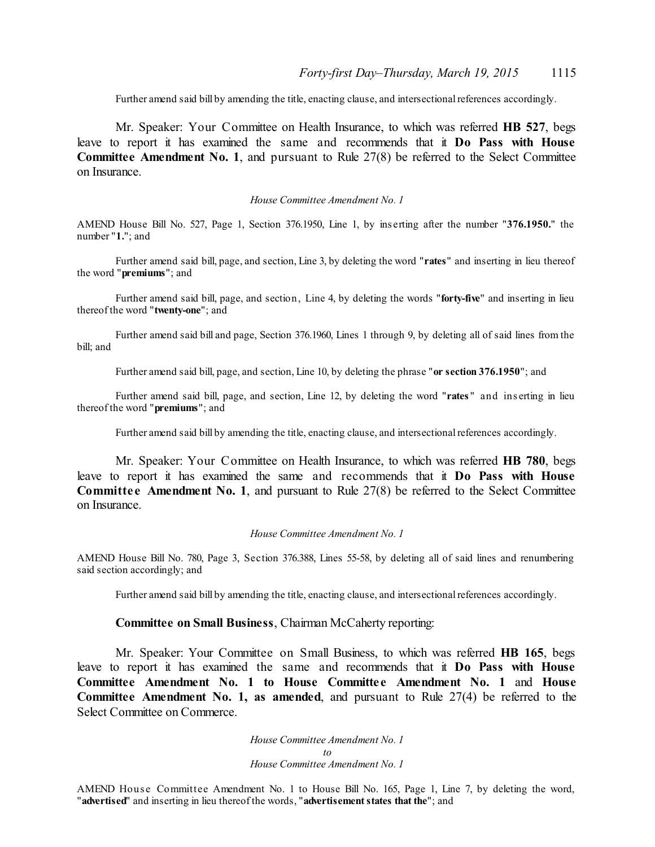Further amend said bill by amending the title, enacting clause, and intersectional references accordingly.

Mr. Speaker: Your Committee on Health Insurance, to which was referred **HB 527**, begs leave to report it has examined the same and recommends that it **Do Pass with House Committee Amendment No. 1**, and pursuant to Rule 27(8) be referred to the Select Committee on Insurance.

#### *House Committee Amendment No. 1*

AMEND House Bill No. 527, Page 1, Section 376.1950, Line 1, by ins erting after the number "**376.1950.**" the number "**1.**"; and

Further amend said bill, page, and section, Line 3, by deleting the word "**rates**" and inserting in lieu thereof the word "**premiums**"; and

Further amend said bill, page, and section, Line 4, by deleting the words "**forty-five**" and inserting in lieu thereof the word "**twenty-one**"; and

Further amend said bill and page, Section 376.1960, Lines 1 through 9, by deleting all of said lines from the bill; and

Further amend said bill, page, and section, Line 10, by deleting the phrase "**or section 376.1950**"; and

Further amend said bill, page, and section, Line 12, by deleting the word "**rates** " and ins erting in lieu thereof the word "**premiums**"; and

Further amend said bill by amending the title, enacting clause, and intersectional references accordingly.

Mr. Speaker: Your Committee on Health Insurance, to which was referred **HB 780**, begs leave to report it has examined the same and recommends that it **Do Pass with House Committee Amendment No. 1, and pursuant to Rule 27(8) be referred to the Select Committee** on Insurance.

#### *House Committee Amendment No. 1*

AMEND House Bill No. 780, Page 3, Section 376.388, Lines 55-58, by deleting all of said lines and renumbering said section accordingly; and

Further amend said bill by amending the title, enacting clause, and intersectional references accordingly.

#### **Committee on Small Business**, Chairman McCaherty reporting:

Mr. Speaker: Your Committee on Small Business, to which was referred **HB 165**, begs leave to report it has examined the same and recommends that it **Do Pass with House Committee Amendment No. 1 to House Committe e Amendment No. 1** and **House Committee Amendment No. 1, as amended**, and pursuant to Rule 27(4) be referred to the Select Committee on Commerce.

> *House Committee Amendment No. 1 to House Committee Amendment No. 1*

AMEND House Committee Amendment No. 1 to House Bill No. 165, Page 1, Line 7, by deleting the word, "**advertised**" and inserting in lieu thereof the words, "**advertisementstates that the**"; and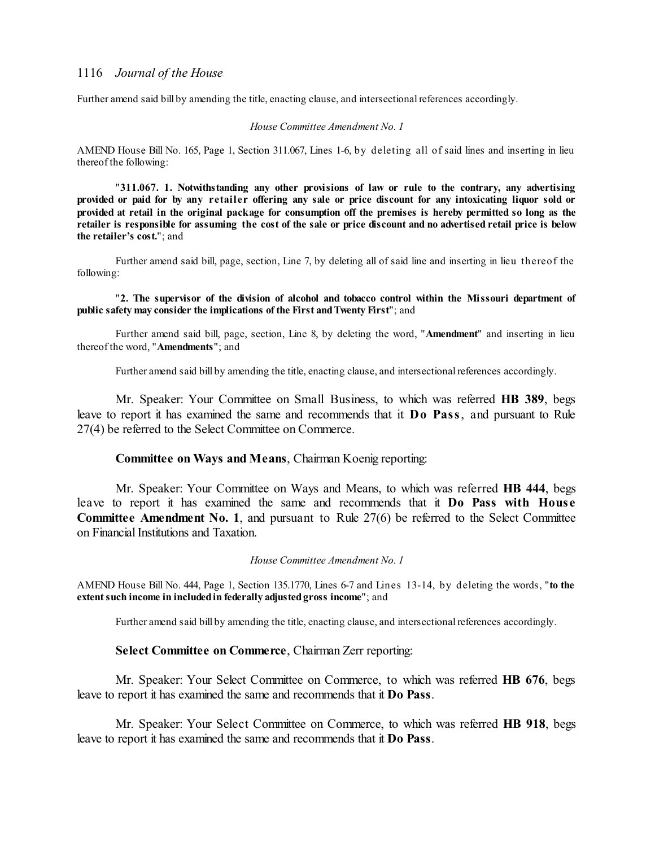Further amend said bill by amending the title, enacting clause, and intersectional references accordingly.

#### *House Committee Amendment No. 1*

AMEND House Bill No. 165, Page 1, Section 311.067, Lines 1-6, by deleting all of said lines and inserting in lieu thereof the following:

"**311.067. 1. Notwithstanding any other provisions of law or rule to the contrary, any advertising** provided or paid for by any retailer offering any sale or price discount for any intoxicating liquor sold or provided at retail in the original package for consumption off the premises is hereby permitted so long as the retailer is responsible for assuming the cost of the sale or price discount and no advertised retail price is below **the retailer's cost.**"; and

Further amend said bill, page, section, Line 7, by deleting all of said line and inserting in lieu thereof the following:

#### "**2. The supervisor of the division of alcohol and tobacco control within the Missouri department of public safety may consider the implications of the First andTwenty First**"; and

Further amend said bill, page, section, Line 8, by deleting the word, "**Amendment**" and inserting in lieu thereof the word, "**Amendments**"; and

Further amend said bill by amending the title, enacting clause, and intersectional references accordingly.

Mr. Speaker: Your Committee on Small Business, to which was referred **HB 389**, begs leave to report it has examined the same and recommends that it **Do Pass**, and pursuant to Rule 27(4) be referred to the Select Committee on Commerce.

#### **Committee on Ways and Means**, Chairman Koenig reporting:

Mr. Speaker: Your Committee on Ways and Means, to which was referred **HB 444**, begs leave to report it has examined the same and recommends that it **Do Pass with Hous e Committee Amendment No. 1**, and pursuant to Rule 27(6) be referred to the Select Committee on Financial Institutions and Taxation.

#### *House Committee Amendment No. 1*

AMEND House Bill No. 444, Page 1, Section 135.1770, Lines 6-7 and Lines 13-14, by deleting the words, "**to the extentsuch income in includedin federally adjustedgross income**"; and

Further amend said bill by amending the title, enacting clause, and intersectional references accordingly.

#### **Select Committee on Commerce**, Chairman Zerr reporting:

Mr. Speaker: Your Select Committee on Commerce, to which was referred **HB 676**, begs leave to report it has examined the same and recommends that it **Do Pass**.

Mr. Speaker: Your Select Committee on Commerce, to which was referred **HB 918**, begs leave to report it has examined the same and recommends that it **Do Pass**.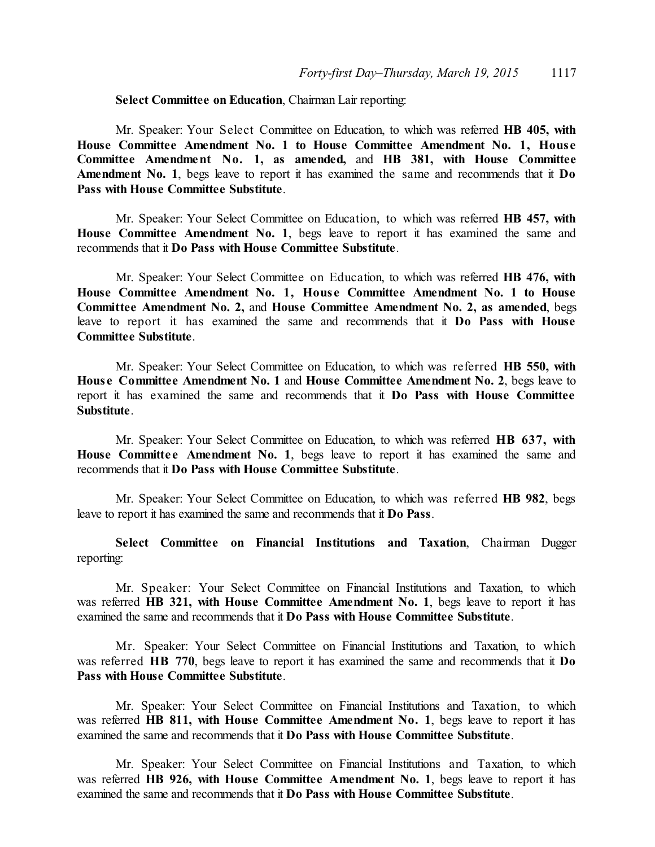### **Select Committee on Education**, Chairman Lair reporting:

Mr. Speaker: Your Select Committee on Education, to which was referred **HB 405, with House Committee Amendment No. 1 to House Committee Amendment No. 1, House Committee Amendment No. 1, as amended,** and **HB 381, with House Committee Amendment No. 1**, begs leave to report it has examined the same and recommends that it **Do Pass with House Committee Substitute**.

Mr. Speaker: Your Select Committee on Education, to which was referred **HB 457, with House Committee Amendment No. 1**, begs leave to report it has examined the same and recommends that it **Do Pass with House Committee Substitute**.

Mr. Speaker: Your Select Committee on Education, to which was referred **HB 476, with House Committee Amendment No. 1, Hous e Committee Amendment No. 1 to House Committee Amendment No. 2,** and **House Committee Amendment No. 2, as amended**, begs leave to report it has examined the same and recommends that it **Do Pass with House Committee Substitute**.

Mr. Speaker: Your Select Committee on Education, to which was referred **HB 550, with Hous e Committee Amendment No. 1** and **House Committee Amendment No. 2**, begs leave to report it has examined the same and recommends that it **Do Pass with House Committee Substitute**.

Mr. Speaker: Your Select Committee on Education, to which was referred **HB 637, with** House Committee Amendment No. 1, begs leave to report it has examined the same and recommends that it **Do Pass with House Committee Substitute**.

Mr. Speaker: Your Select Committee on Education, to which was referred **HB 982**, begs leave to report it has examined the same and recommends that it **Do Pass**.

**Select Committee on Financial Institutions and Taxation**, Chairman Dugger reporting:

Mr. Speaker: Your Select Committee on Financial Institutions and Taxation, to which was referred **HB 321, with House Committee Amendment No. 1**, begs leave to report it has examined the same and recommends that it **Do Pass with House Committee Substitute**.

Mr. Speaker: Your Select Committee on Financial Institutions and Taxation, to which was referred **HB 770**, begs leave to report it has examined the same and recommends that it **Do Pass with House Committee Substitute**.

Mr. Speaker: Your Select Committee on Financial Institutions and Taxation, to which was referred **HB 811, with House Committee Amendment No. 1**, begs leave to report it has examined the same and recommends that it **Do Pass with House Committee Substitute**.

Mr. Speaker: Your Select Committee on Financial Institutions and Taxation, to which was referred **HB 926, with House Committee Amendment No. 1**, begs leave to report it has examined the same and recommends that it **Do Pass with House Committee Substitute**.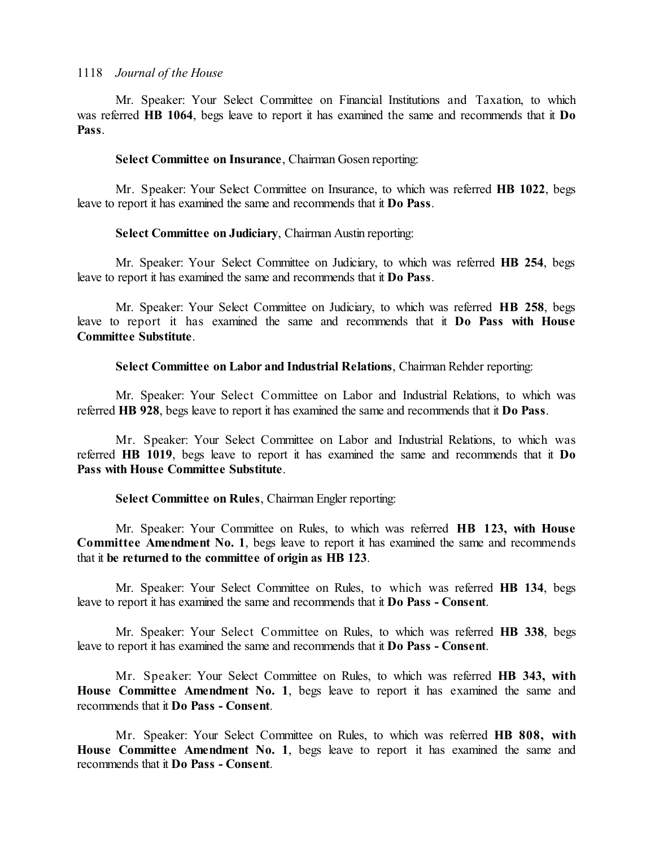Mr. Speaker: Your Select Committee on Financial Institutions and Taxation, to which was referred **HB 1064**, begs leave to report it has examined the same and recommends that it **Do Pass**.

#### **Select Committee on Insurance**, Chairman Gosen reporting:

Mr. Speaker: Your Select Committee on Insurance, to which was referred **HB 1022**, begs leave to report it has examined the same and recommends that it **Do Pass**.

#### **Select Committee on Judiciary**, Chairman Austin reporting:

Mr. Speaker: Your Select Committee on Judiciary, to which was referred **HB 254**, begs leave to report it has examined the same and recommends that it **Do Pass**.

Mr. Speaker: Your Select Committee on Judiciary, to which was referred **HB 258**, begs leave to report it has examined the same and recommends that it **Do Pass with House Committee Substitute**.

**Select Committee on Labor and Industrial Relations**, Chairman Rehder reporting:

Mr. Speaker: Your Select Committee on Labor and Industrial Relations, to which was referred **HB 928**, begs leave to report it has examined the same and recommends that it **Do Pass**.

Mr. Speaker: Your Select Committee on Labor and Industrial Relations, to which was referred **HB 1019**, begs leave to report it has examined the same and recommends that it **Do Pass with House Committee Substitute**.

### **Select Committee on Rules**, Chairman Engler reporting:

Mr. Speaker: Your Committee on Rules, to which was referred **HB 123, with House Committee Amendment No. 1**, begs leave to report it has examined the same and recommends that it **be returned to the committee of origin as HB 123**.

Mr. Speaker: Your Select Committee on Rules, to which was referred **HB 134**, begs leave to report it has examined the same and recommends that it **Do Pass - Consent**.

Mr. Speaker: Your Select Committee on Rules, to which was referred **HB 338**, begs leave to report it has examined the same and recommends that it **Do Pass - Consent**.

Mr. Speaker: Your Select Committee on Rules, to which was referred **HB 343, with House Committee Amendment No. 1**, begs leave to report it has examined the same and recommends that it **Do Pass - Consent**.

Mr. Speaker: Your Select Committee on Rules, to which was referred **HB 808, with House Committee Amendment No. 1**, begs leave to report it has examined the same and recommends that it **Do Pass - Consent**.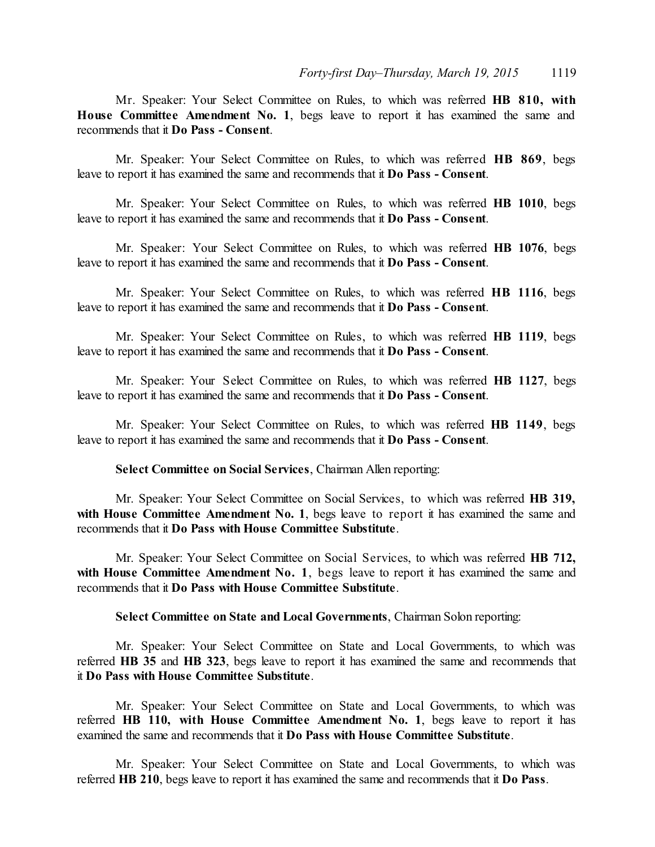Mr. Speaker: Your Select Committee on Rules, to which was referred **HB 810, with House Committee Amendment No. 1**, begs leave to report it has examined the same and recommends that it **Do Pass - Consent**.

Mr. Speaker: Your Select Committee on Rules, to which was referred **HB 869**, begs leave to report it has examined the same and recommends that it **Do Pass - Consent**.

Mr. Speaker: Your Select Committee on Rules, to which was referred **HB 1010**, begs leave to report it has examined the same and recommends that it **Do Pass - Consent**.

Mr. Speaker: Your Select Committee on Rules, to which was referred **HB 1076**, begs leave to report it has examined the same and recommends that it **Do Pass - Consent**.

Mr. Speaker: Your Select Committee on Rules, to which was referred **HB 1116**, begs leave to report it has examined the same and recommends that it **Do Pass - Consent**.

Mr. Speaker: Your Select Committee on Rules, to which was referred **HB 1119**, begs leave to report it has examined the same and recommends that it **Do Pass - Consent**.

Mr. Speaker: Your Select Committee on Rules, to which was referred **HB 1127**, begs leave to report it has examined the same and recommends that it **Do Pass - Consent**.

Mr. Speaker: Your Select Committee on Rules, to which was referred **HB 1149**, begs leave to report it has examined the same and recommends that it **Do Pass - Consent**.

#### **Select Committee on Social Services**, Chairman Allen reporting:

Mr. Speaker: Your Select Committee on Social Services, to which was referred **HB 319, with House Committee Amendment No. 1**, begs leave to report it has examined the same and recommends that it **Do Pass with House Committee Substitute**.

Mr. Speaker: Your Select Committee on Social Services, to which was referred **HB 712, with House Committee Amendment No. 1**, begs leave to report it has examined the same and recommends that it **Do Pass with House Committee Substitute**.

**Select Committee on State and Local Governments**, Chairman Solon reporting:

Mr. Speaker: Your Select Committee on State and Local Governments, to which was referred **HB 35** and **HB 323**, begs leave to report it has examined the same and recommends that it **Do Pass with House Committee Substitute**.

Mr. Speaker: Your Select Committee on State and Local Governments, to which was referred **HB 110, with House Committee Amendment No. 1**, begs leave to report it has examined the same and recommends that it **Do Pass with House Committee Substitute**.

Mr. Speaker: Your Select Committee on State and Local Governments, to which was referred **HB 210**, begs leave to report it has examined the same and recommends that it **Do Pass**.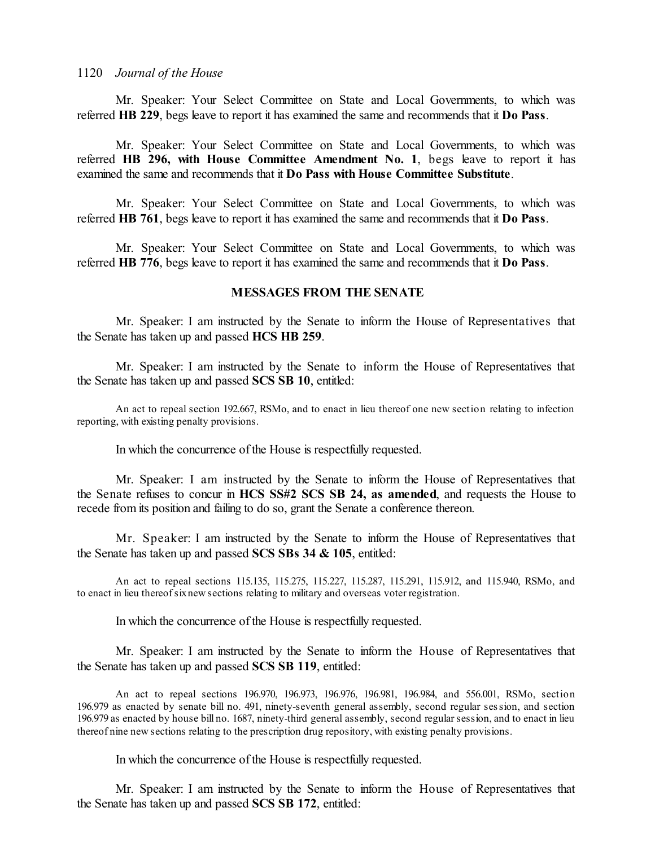Mr. Speaker: Your Select Committee on State and Local Governments, to which was referred **HB 229**, begs leave to report it has examined the same and recommends that it **Do Pass**.

Mr. Speaker: Your Select Committee on State and Local Governments, to which was referred **HB 296, with House Committee Amendment No. 1**, begs leave to report it has examined the same and recommends that it **Do Pass with House Committee Substitute**.

Mr. Speaker: Your Select Committee on State and Local Governments, to which was referred **HB 761**, begs leave to report it has examined the same and recommends that it **Do Pass**.

Mr. Speaker: Your Select Committee on State and Local Governments, to which was referred **HB 776**, begs leave to report it has examined the same and recommends that it **Do Pass**.

#### **MESSAGES FROM THE SENATE**

Mr. Speaker: I am instructed by the Senate to inform the House of Representatives that the Senate has taken up and passed **HCS HB 259**.

Mr. Speaker: I am instructed by the Senate to inform the House of Representatives that the Senate has taken up and passed **SCS SB 10**, entitled:

An act to repeal section 192.667, RSMo, and to enact in lieu thereof one new section relating to infection reporting, with existing penalty provisions.

In which the concurrence of the House is respectfully requested.

Mr. Speaker: I am instructed by the Senate to inform the House of Representatives that the Senate refuses to concur in **HCS SS#2 SCS SB 24, as amended**, and requests the House to recede from its position and failing to do so, grant the Senate a conference thereon.

Mr. Speaker: I am instructed by the Senate to inform the House of Representatives that the Senate has taken up and passed **SCS SBs 34 & 105**, entitled:

An act to repeal sections 115.135, 115.275, 115.227, 115.287, 115.291, 115.912, and 115.940, RSMo, and to enact in lieu thereofsixnew sections relating to military and overseas voter registration.

In which the concurrence of the House is respectfully requested.

Mr. Speaker: I am instructed by the Senate to inform the House of Representatives that the Senate has taken up and passed **SCS SB 119**, entitled:

An act to repeal sections 196.970, 196.973, 196.976, 196.981, 196.984, and 556.001, RSMo, section 196.979 as enacted by senate bill no. 491, ninety-seventh general assembly, second regular session, and section 196.979 as enacted by house bill no. 1687, ninety-third general assembly, second regularsession, and to enact in lieu thereof nine new sections relating to the prescription drug repository, with existing penalty provisions.

In which the concurrence of the House is respectfully requested.

Mr. Speaker: I am instructed by the Senate to inform the House of Representatives that the Senate has taken up and passed **SCS SB 172**, entitled: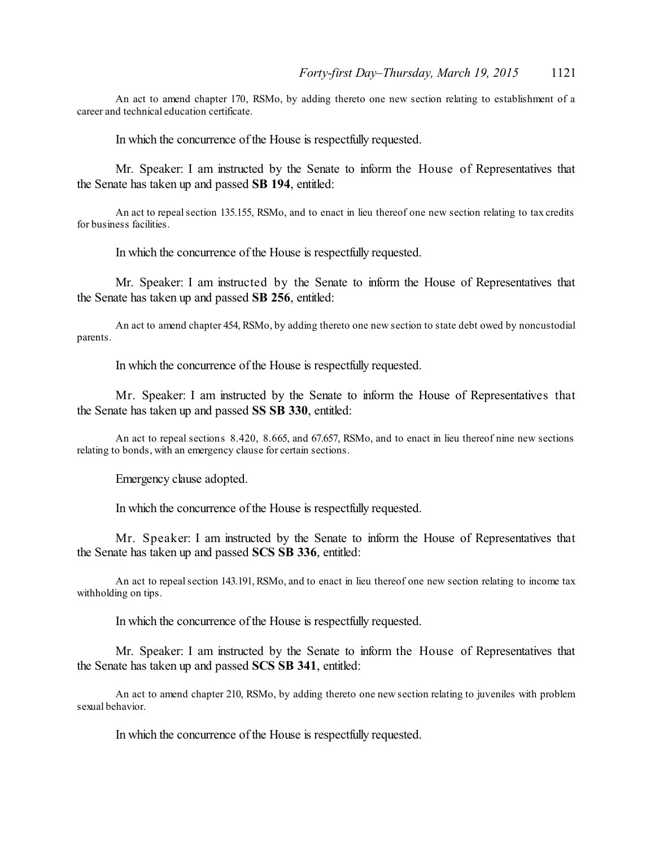An act to amend chapter 170, RSMo, by adding thereto one new section relating to establishment of a career and technical education certificate.

In which the concurrence of the House is respectfully requested.

Mr. Speaker: I am instructed by the Senate to inform the House of Representatives that the Senate has taken up and passed **SB 194**, entitled:

An act to repealsection 135.155, RSMo, and to enact in lieu thereof one new section relating to tax credits for business facilities.

In which the concurrence of the House is respectfully requested.

Mr. Speaker: I am instructed by the Senate to inform the House of Representatives that the Senate has taken up and passed **SB 256**, entitled:

An act to amend chapter 454, RSMo, by adding thereto one new section to state debt owed by noncustodial parents.

In which the concurrence of the House is respectfully requested.

Mr. Speaker: I am instructed by the Senate to inform the House of Representatives that the Senate has taken up and passed **SS SB 330**, entitled:

An act to repeal sections 8.420, 8.665, and 67.657, RSMo, and to enact in lieu thereof nine new sections relating to bonds, with an emergency clause for certain sections.

Emergency clause adopted.

In which the concurrence of the House is respectfully requested.

Mr. Speaker: I am instructed by the Senate to inform the House of Representatives that the Senate has taken up and passed **SCS SB 336**, entitled:

An act to repealsection 143.191, RSMo, and to enact in lieu thereof one new section relating to income tax withholding on tips.

In which the concurrence of the House is respectfully requested.

Mr. Speaker: I am instructed by the Senate to inform the House of Representatives that the Senate has taken up and passed **SCS SB 341**, entitled:

An act to amend chapter 210, RSMo, by adding thereto one new section relating to juveniles with problem sexual behavior.

In which the concurrence of the House is respectfully requested.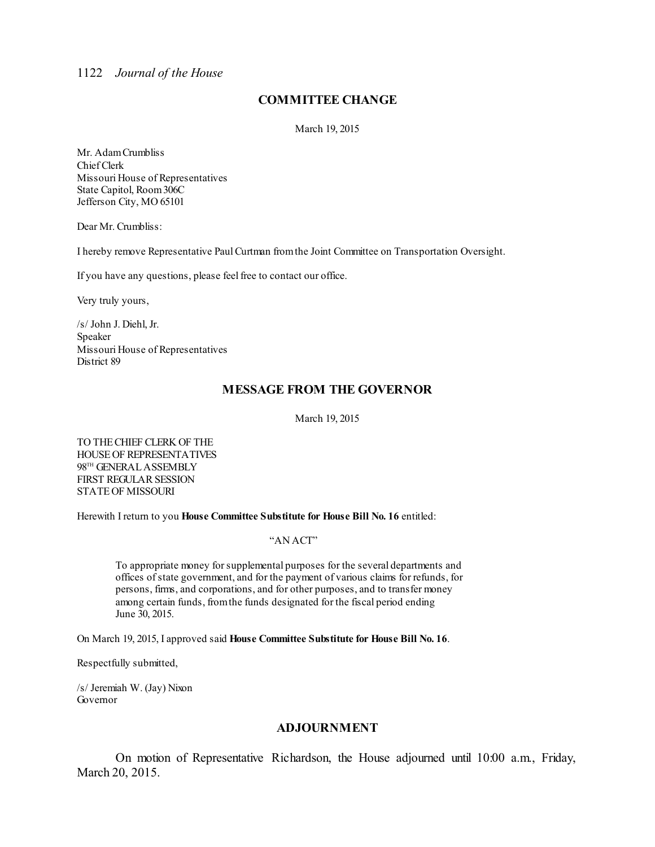## **COMMITTEE CHANGE**

March 19, 2015

Mr. AdamCrumbliss Chief Clerk Missouri House of Representatives State Capitol, Room306C Jefferson City, MO 65101

Dear Mr. Crumbliss:

I hereby remove Representative PaulCurtman fromthe Joint Committee on Transportation Oversight.

If you have any questions, please feelfree to contact our office.

Very truly yours,

/s/ John J. Diehl, Jr. Speaker Missouri House of Representatives District 89

### **MESSAGE FROM THE GOVERNOR**

March 19, 2015

TO THECHIEF CLERK OF THE HOUSEOF REPRESENTATIVES 98<sup>th</sup> GENERAL ASSEMBLY FIRST REGULAR SESSION STATEOF MISSOURI

Herewith I return to you **House Committee Substitute for House Bill No. 16** entitled:

#### "AN ACT"

To appropriate money forsupplemental purposes for the several departments and offices ofstate government, and for the payment of various claims for refunds, for persons, firms, and corporations, and for other purposes, and to transfer money among certain funds, fromthe funds designated for the fiscal period ending June 30, 2015.

On March 19, 2015, I approved said **House Committee Substitute for House Bill No. 16**.

Respectfully submitted,

/s/ Jeremiah W. (Jay) Nixon Governor

### **ADJOURNMENT**

On motion of Representative Richardson, the House adjourned until 10:00 a.m., Friday, March 20, 2015.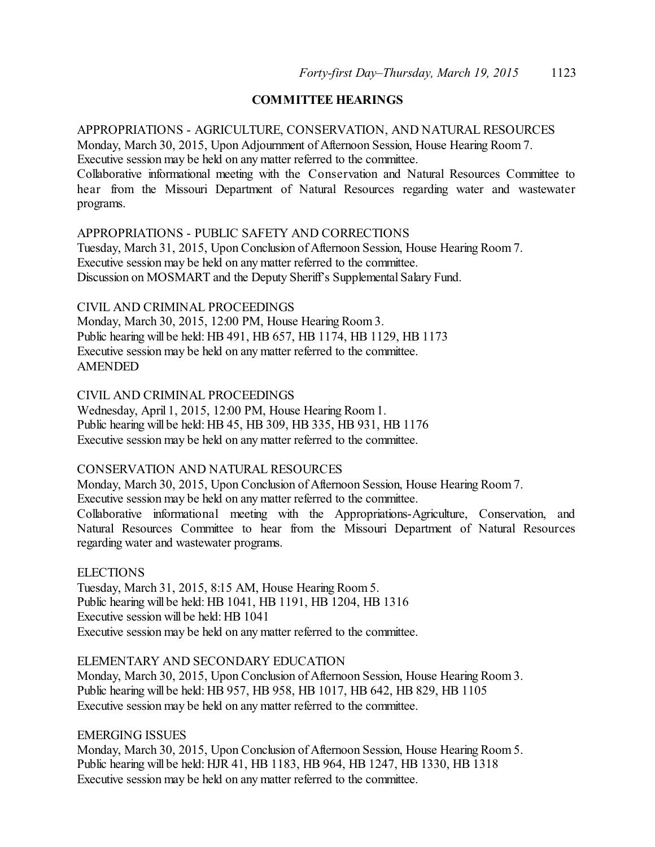## **COMMITTEE HEARINGS**

APPROPRIATIONS - AGRICULTURE, CONSERVATION, AND NATURAL RESOURCES Monday, March 30, 2015, Upon Adjournment of Afternoon Session, House Hearing Room 7. Executive session may be held on any matter referred to the committee. Collaborative informational meeting with the Conservation and Natural Resources Committee to hear from the Missouri Department of Natural Resources regarding water and wastewater programs.

### APPROPRIATIONS - PUBLIC SAFETY AND CORRECTIONS

Tuesday, March 31, 2015, Upon Conclusion of Afternoon Session, House Hearing Room 7. Executive session may be held on any matter referred to the committee. Discussion on MOSMART and the Deputy Sheriff's Supplemental Salary Fund.

### CIVIL AND CRIMINAL PROCEEDINGS

Monday, March 30, 2015, 12:00 PM, House Hearing Room 3. Public hearing will be held: HB 491, HB 657, HB 1174, HB 1129, HB 1173 Executive session may be held on any matter referred to the committee. AMENDED

## CIVIL AND CRIMINAL PROCEEDINGS

Wednesday, April 1, 2015, 12:00 PM, House Hearing Room1. Public hearing will be held: HB 45, HB 309, HB 335, HB 931, HB 1176 Executive session may be held on any matter referred to the committee.

#### CONSERVATION AND NATURAL RESOURCES

Monday, March 30, 2015, Upon Conclusion of Afternoon Session, House Hearing Room 7.

Executive session may be held on any matter referred to the committee.

Collaborative informational meeting with the Appropriations-Agriculture, Conservation, and Natural Resources Committee to hear from the Missouri Department of Natural Resources regarding water and wastewater programs.

### ELECTIONS

Tuesday, March 31, 2015, 8:15 AM, House Hearing Room 5. Public hearing will be held: HB 1041, HB 1191, HB 1204, HB 1316 Executive session will be held: HB 1041 Executive session may be held on any matter referred to the committee.

#### ELEMENTARY AND SECONDARY EDUCATION

Monday, March 30, 2015, Upon Conclusion of Afternoon Session, House Hearing Room 3. Public hearing will be held: HB 957, HB 958, HB 1017, HB 642, HB 829, HB 1105 Executive session may be held on any matter referred to the committee.

### EMERGING ISSUES

Monday, March 30, 2015, Upon Conclusion of Afternoon Session, House Hearing Room 5. Public hearing will be held: HJR 41, HB 1183, HB 964, HB 1247, HB 1330, HB 1318 Executive session may be held on any matter referred to the committee.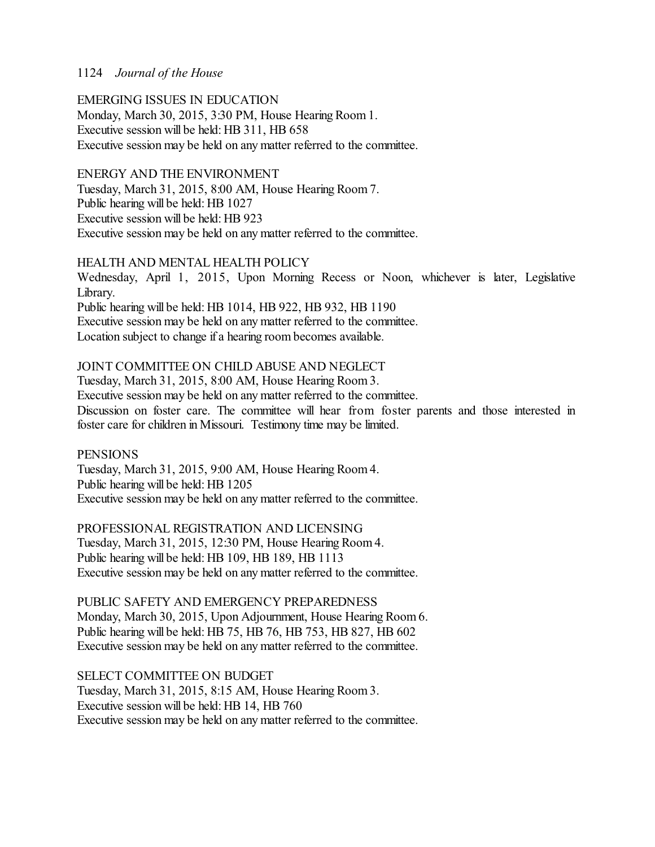## EMERGING ISSUES IN EDUCATION

Monday, March 30, 2015, 3:30 PM, House Hearing Room 1. Executive session will be held: HB 311, HB 658 Executive session may be held on any matter referred to the committee.

### ENERGY AND THE ENVIRONMENT

Tuesday, March 31, 2015, 8:00 AM, House Hearing Room 7. Public hearing will be held: HB 1027 Executive session will be held: HB 923 Executive session may be held on any matter referred to the committee.

## HEALTH AND MENTAL HEALTH POLICY

Wednesday, April 1, 2015, Upon Morning Recess or Noon, whichever is later, Legislative Library. Public hearing will be held: HB 1014, HB 922, HB 932, HB 1190

Executive session may be held on any matter referred to the committee. Location subject to change if a hearing room becomes available.

## JOINT COMMITTEE ON CHILD ABUSE AND NEGLECT

Tuesday, March 31, 2015, 8:00 AM, House Hearing Room 3. Executive session may be held on any matter referred to the committee. Discussion on foster care. The committee will hear from foster parents and those interested in foster care for children in Missouri. Testimony time may be limited.

**PENSIONS** Tuesday, March 31, 2015, 9:00 AM, House Hearing Room 4. Public hearing will be held: HB 1205 Executive session may be held on any matter referred to the committee.

PROFESSIONAL REGISTRATION AND LICENSING Tuesday, March 31, 2015, 12:30 PM, House Hearing Room 4. Public hearing will be held: HB 109, HB 189, HB 1113 Executive session may be held on any matter referred to the committee.

PUBLIC SAFETY AND EMERGENCY PREPAREDNESS Monday, March 30, 2015, Upon Adjournment, House Hearing Room 6. Public hearing will be held: HB 75, HB 76, HB 753, HB 827, HB 602 Executive session may be held on any matter referred to the committee.

SELECT COMMITTEE ON BUDGET Tuesday, March 31, 2015, 8:15 AM, House Hearing Room 3. Executive session will be held: HB 14, HB 760 Executive session may be held on any matter referred to the committee.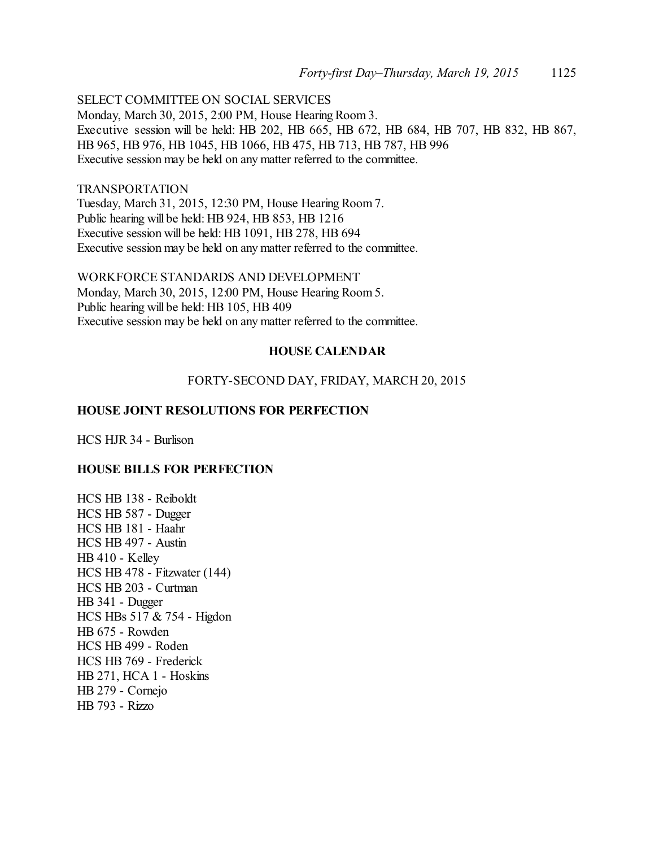SELECT COMMITTEE ON SOCIAL SERVICES

Monday, March 30, 2015, 2:00 PM, House Hearing Room 3. Executive session will be held: HB 202, HB 665, HB 672, HB 684, HB 707, HB 832, HB 867, HB 965, HB 976, HB 1045, HB 1066, HB 475, HB 713, HB 787, HB 996 Executive session may be held on any matter referred to the committee.

#### TRANSPORTATION

Tuesday, March 31, 2015, 12:30 PM, House Hearing Room 7. Public hearing will be held: HB 924, HB 853, HB 1216 Executive session will be held: HB 1091, HB 278, HB 694 Executive session may be held on any matter referred to the committee.

WORKFORCE STANDARDS AND DEVELOPMENT Monday, March 30, 2015, 12:00 PM, House Hearing Room 5. Public hearing will be held: HB 105, HB 409 Executive session may be held on any matter referred to the committee.

### **HOUSE CALENDAR**

## FORTY-SECOND DAY, FRIDAY, MARCH 20, 2015

### **HOUSE JOINT RESOLUTIONS FOR PERFECTION**

HCS HJR 34 - Burlison

#### **HOUSE BILLS FOR PERFECTION**

HCS HB 138 - Reiboldt HCS HB 587 - Dugger HCS HB 181 - Haahr HCS HB 497 - Austin HB 410 - Kelley HCS HB 478 - Fitzwater (144) HCS HB 203 - Curtman HB 341 - Dugger HCS HBs 517 & 754 - Higdon HB 675 - Rowden HCS HB 499 - Roden HCS HB 769 - Frederick HB 271, HCA 1 - Hoskins HB 279 - Cornejo HB 793 - Rizzo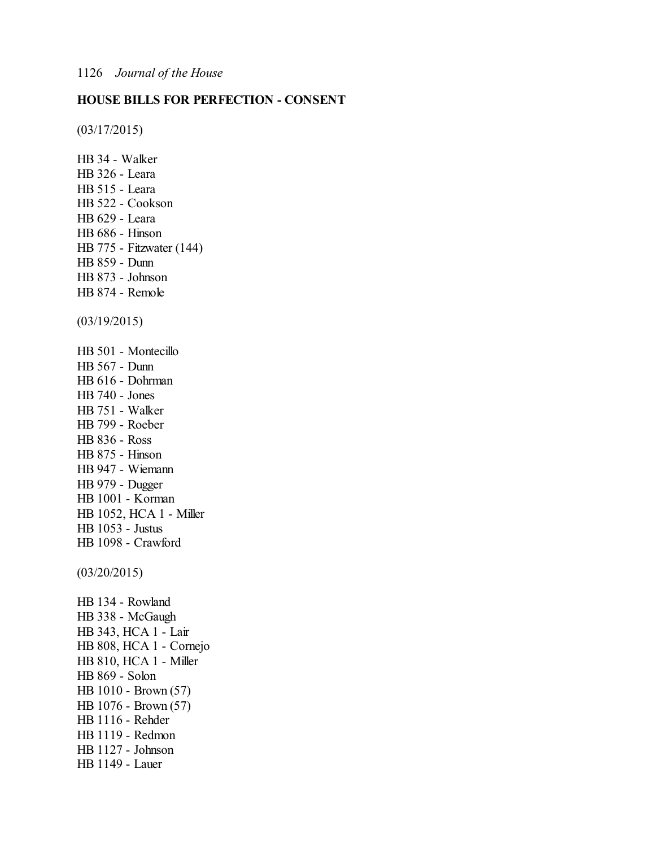## **HOUSE BILLS FOR PERFECTION - CONSENT**

(03/17/2015)

HB 34 - Walker HB 326 - Leara HB 515 - Leara HB 522 - Cookson HB 629 - Leara HB 686 - Hinson HB 775 - Fitzwater (144) HB 859 - Dunn HB 873 - Johnson HB 874 - Remole (03/19/2015) HB 501 - Montecillo HB 567 - Dunn HB 616 - Dohrman HB 740 - Jones HB 751 - Walker HB 799 - Roeber HB 836 - Ross HB 875 - Hinson HB 947 - Wiemann HB 979 - Dugger HB 1001 - Korman HB 1052, HCA 1 - Miller HB 1053 - Justus HB 1098 - Crawford (03/20/2015) HB 134 - Rowland HB 338 - McGaugh HB 343, HCA 1 - Lair HB 808, HCA 1 - Cornejo HB 810, HCA 1 - Miller HB 869 - Solon HB 1010 - Brown (57) HB 1076 - Brown (57) HB 1116 - Rehder HB 1119 - Redmon HB 1127 - Johnson HB 1149 - Lauer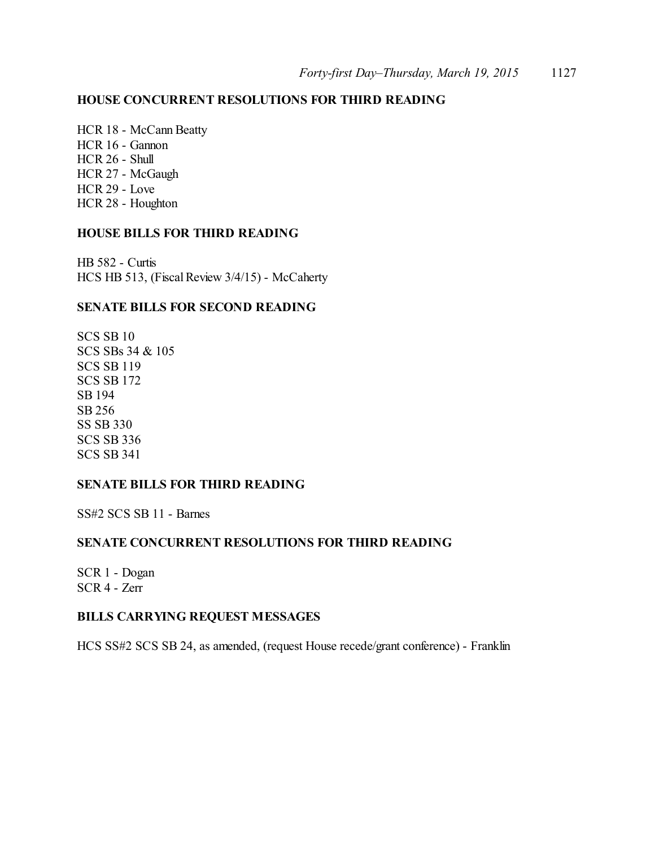## **HOUSE CONCURRENT RESOLUTIONS FOR THIRD READING**

HCR 18 - McCann Beatty HCR 16 - Gannon HCR 26 - Shull HCR 27 - McGaugh HCR 29 - Love HCR 28 - Houghton

### **HOUSE BILLS FOR THIRD READING**

HB 582 - Curtis HCS HB 513, (Fiscal Review 3/4/15) - McCaherty

## **SENATE BILLS FOR SECOND READING**

SCS SB 10 SCS SBs 34 & 105 SCS SB 119 SCS SB 172 SB 194 SB 256 SS SB 330 SCS SB 336 SCS SB 341

### **SENATE BILLS FOR THIRD READING**

SS#2 SCS SB 11 - Barnes

## **SENATE CONCURRENT RESOLUTIONS FOR THIRD READING**

SCR 1 - Dogan SCR 4 - Zerr

### **BILLS CARRYING REQUEST MESSAGES**

HCS SS#2 SCS SB 24, as amended, (request House recede/grant conference) - Franklin